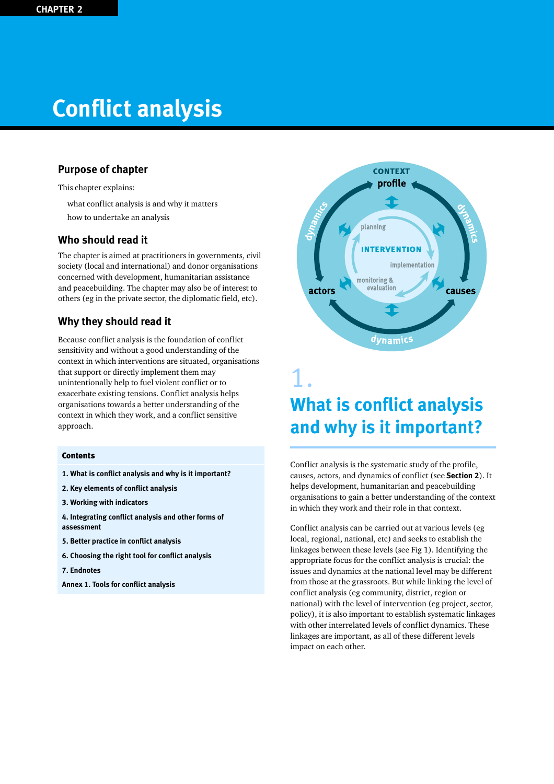# **Conflict analysis**

# **Purpose of chapter**

This chapter explains:

- what conflict analysis is and why it matters
- how to undertake an analysis

# **Who should read it**

The chapter is aimed at practitioners in governments, civil society (local and international) and donor organisations concerned with development, humanitarian assistance and peacebuilding. The chapter may also be of interest to others (eg in the private sector, the diplomatic field, etc).

# **Why they should read it**

Because conflict analysis is the foundation of conflict sensitivity and without a good understanding of the context in which interventions are situated, organisations that support or directly implement them may unintentionally help to fuel violent conflict or to exacerbate existing tensions. Conflict analysis helps organisations towards a better understanding of the context in which they work, and a conflict sensitive approach.

#### **Contents**

- **1. What is conflict analysis and why is it important?**
- **2. Key elements of conflict analysis**
- **3. Working with indicators**
- **4. Integrating conflict analysis and other forms of assessment**
- **5. Better practice in conflict analysis**
- **6. Choosing the right tool for conflict analysis**
- **7. Endnotes**

**Annex 1. Tools for conflict analysis**



# **What is conflict analysis and why is it important?**

Conflict analysis is the systematic study of the profile, causes, actors, and dynamics of conflict (see **Section 2**). It helps development, humanitarian and peacebuilding organisations to gain a better understanding of the context in which they work and their role in that context.

Conflict analysis can be carried out at various levels (eg local, regional, national, etc) and seeks to establish the linkages between these levels (see Fig 1). Identifying the appropriate focus for the conflict analysis is crucial: the issues and dynamics at the national level may be different from those at the grassroots. But while linking the level of conflict analysis (eg community, district, region or national) with the level of intervention (eg project, sector, policy), it is also important to establish systematic linkages with other interrelated levels of conflict dynamics. These linkages are important, as all of these different levels impact on each other.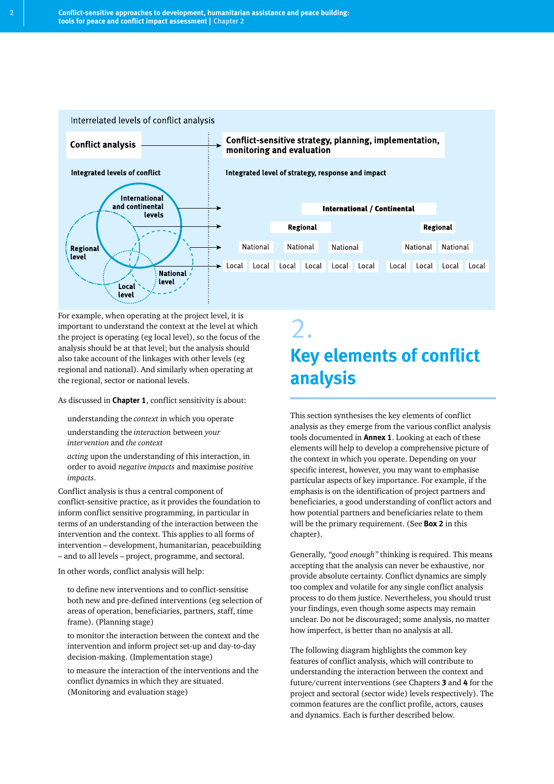

For example, when operating at the project level, it is important to understand the context at the level at which the project is operating (eg local level), so the focus of the analysis should be at that level; but the analysis should also take account of the linkages with other levels (eg regional and national). And similarly when operating at the regional, sector or national levels.

As discussed in **Chapter 1**, conflict sensitivity is about:

- understanding the *context* in which you operate
- understanding the *interaction* between *your intervention* and *the context*
- *acting* upon the understanding of this interaction, in order to avoid *negative impacts* and maximise *positive impacts*.

Conflict analysis is thus a central component of conflict-sensitive practice, as it provides the foundation to inform conflict sensitive programming, in particular in terms of an understanding of the interaction between the intervention and the context. This applies to all forms of intervention – development, humanitarian, peacebuilding – and to all levels – project, programme, and sectoral.

In other words, conflict analysis will help:

- to define new interventions and to conflict-sensitise both new and pre-defined interventions (eg selection of areas of operation, beneficiaries, partners, staff, time frame). (Planning stage)
- to monitor the interaction between the context and the intervention and inform project set-up and day-to-day decision-making. (Implementation stage)
- to measure the interaction of the interventions and the conflict dynamics in which they are situated. (Monitoring and evaluation stage)

# 2. **Key elements of conflict analysis**

This section synthesises the key elements of conflict analysis as they emerge from the various conflict analysis tools documented in **Annex 1**. Looking at each of these elements will help to develop a comprehensive picture of the context in which you operate. Depending on your specific interest, however, you may want to emphasise particular aspects of key importance. For example, if the emphasis is on the identification of project partners and beneficiaries, a good understanding of conflict actors and how potential partners and beneficiaries relate to them will be the primary requirement. (See **Box 2** in this chapter).

Generally, *"good enough"* thinking is required. This means accepting that the analysis can never be exhaustive, nor provide absolute certainty. Conflict dynamics are simply too complex and volatile for any single conflict analysis process to do them justice. Nevertheless, you should trust your findings, even though some aspects may remain unclear. Do not be discouraged; some analysis, no matter how imperfect, is better than no analysis at all.

The following diagram highlights the common key features of conflict analysis, which will contribute to understanding the interaction between the context and future/current interventions (see Chapters **3** and **4** for the project and sectoral (sector wide) levels respectively). The common features are the conflict profile, actors, causes and dynamics. Each is further described below.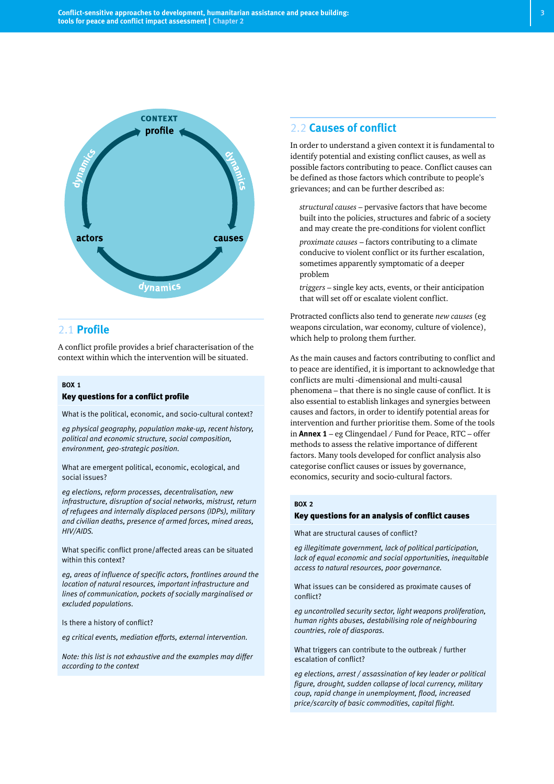

# 2.1 **Profile**

A conflict profile provides a brief characterisation of the context within which the intervention will be situated.

#### **BOX 1**

#### Key questions for a conflict profile

What is the political, economic, and socio-cultural context?

*eg physical geography, population make-up, recent history, political and economic structure, social composition, environment, geo-strategic position.*

What are emergent political, economic, ecological, and social issues?

*eg elections, reform processes, decentralisation, new infrastructure, disruption of social networks, mistrust, return of refugees and internally displaced persons (IDPs), military and civilian deaths, presence of armed forces, mined areas, HIV/AIDS.*

What specific conflict prone/affected areas can be situated within this context?

*eg, areas of influence of specific actors, frontlines around the location of natural resources, important infrastructure and lines of communication, pockets of socially marginalised or excluded populations.*

Is there a history of conflict?

*eg critical events, mediation efforts, external intervention.*

*Note: this list is not exhaustive and the examples may differ according to the context*

### 2.2 **Causes of conflict**

In order to understand a given context it is fundamental to identify potential and existing conflict causes, as well as possible factors contributing to peace. Conflict causes can be defined as those factors which contribute to people's grievances; and can be further described as:

- *structural causes* pervasive factors that have become built into the policies, structures and fabric of a society and may create the pre-conditions for violent conflict
- *proximate causes* factors contributing to a climate conducive to violent conflict or its further escalation, sometimes apparently symptomatic of a deeper problem
- *triggers* single key acts, events, or their anticipation that will set off or escalate violent conflict.

Protracted conflicts also tend to generate *new causes* (eg weapons circulation, war economy, culture of violence), which help to prolong them further.

As the main causes and factors contributing to conflict and to peace are identified, it is important to acknowledge that conflicts are multi -dimensional and multi-causal phenomena – that there is no single cause of conflict. It is also essential to establish linkages and synergies between causes and factors, in order to identify potential areas for intervention and further prioritise them. Some of the tools in **Annex 1** – eg Clingendael / Fund for Peace, RTC – offer methods to assess the relative importance of different factors. Many tools developed for conflict analysis also categorise conflict causes or issues by governance, economics, security and socio-cultural factors.

#### **BOX 2**

#### Key questions for an analysis of conflict causes

What are structural causes of conflict?

*eg illegitimate government, lack of political participation, lack of equal economic and social opportunities, inequitable access to natural resources, poor governance.*

What issues can be considered as proximate causes of conflict?

*eg uncontrolled security sector, light weapons proliferation, human rights abuses, destabilising role of neighbouring countries, role of diasporas.*

What triggers can contribute to the outbreak / further escalation of conflict?

*eg elections, arrest / assassination of key leader or political figure, drought, sudden collapse of local currency, military coup, rapid change in unemployment, flood, increased price/scarcity of basic commodities, capital flight.*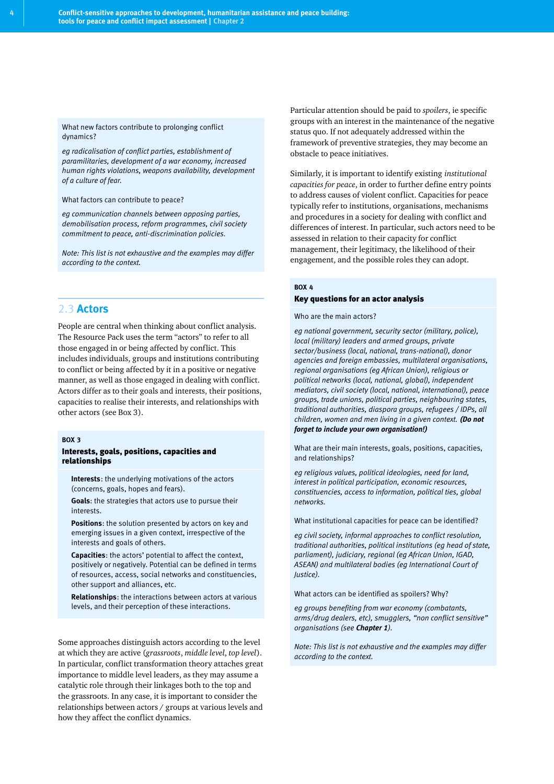What new factors contribute to prolonging conflict dynamics?

*eg radicalisation of conflict parties, establishment of paramilitaries, development of a war economy, increased human rights violations, weapons availability, development of a culture of fear.*

What factors can contribute to peace?

*eg communication channels between opposing parties, demobilisation process, reform programmes, civil society commitment to peace, anti-discrimination policies.*

*Note: This list is not exhaustive and the examples may differ according to the context.*

# 2.3 **Actors**

People are central when thinking about conflict analysis. The Resource Pack uses the term "actors" to refer to all those engaged in or being affected by conflict. This includes individuals, groups and institutions contributing to conflict or being affected by it in a positive or negative manner, as well as those engaged in dealing with conflict. Actors differ as to their goals and interests, their positions, capacities to realise their interests, and relationships with other actors (see Box 3).

#### **BOX 3**

#### Interests, goals, positions, capacities and relationships

- Interests: the underlying motivations of the actors (concerns, goals, hopes and fears).
- **Goals:** the strategies that actors use to pursue their interests.
- Positions: the solution presented by actors on key and emerging issues in a given context, irrespective of the interests and goals of others.
- Capacities: the actors' potential to affect the context, positively or negatively. Potential can be defined in terms of resources, access, social networks and constituencies, other support and alliances, etc.
- **Relationships:** the interactions between actors at various levels, and their perception of these interactions.

Some approaches distinguish actors according to the level at which they are active (*grassroots*, *middle level*, *top level*). In particular, conflict transformation theory attaches great importance to middle level leaders, as they may assume a catalytic role through their linkages both to the top and the grassroots. In any case, it is important to consider the relationships between actors / groups at various levels and how they affect the conflict dynamics.

Particular attention should be paid to *spoilers*, ie specific groups with an interest in the maintenance of the negative status quo. If not adequately addressed within the framework of preventive strategies, they may become an obstacle to peace initiatives.

Similarly, it is important to identify existing *institutional capacities for peace*, in order to further define entry points to address causes of violent conflict. Capacities for peace typically refer to institutions, organisations, mechanisms and procedures in a society for dealing with conflict and differences of interest. In particular, such actors need to be assessed in relation to their capacity for conflict management, their legitimacy, the likelihood of their engagement, and the possible roles they can adopt.

#### **BOX 4**

#### Key questions for an actor analysis

Who are the main actors?

*eg national government, security sector (military, police), local (military) leaders and armed groups, private sector/business (local, national, trans-national), donor agencies and foreign embassies, multilateral organisations, regional organisations (eg African Union), religious or political networks (local, national, global), independent mediators, civil society (local, national, international), peace groups, trade unions, political parties, neighbouring states, traditional authorities, diaspora groups, refugees / IDPs, all children, women and men living in a given context. (Do not forget to include your own organisation!)*

What are their main interests, goals, positions, capacities, and relationships?

*eg religious values, political ideologies, need for land, interest in political participation, economic resources, constituencies, access to information, political ties, global networks.*

What institutional capacities for peace can be identified?

*eg civil society, informal approaches to conflict resolution, traditional authorities, political institutions (eg head of state, parliament), judiciary, regional (eg African Union, IGAD, ASEAN) and multilateral bodies (eg International Court of Justice).*

What actors can be identified as spoilers? Why?

*eg groups benefiting from war economy (combatants, arms/drug dealers, etc), smugglers, "non conflict sensitive" organisations (see Chapter 1).*

*Note: This list is not exhaustive and the examples may differ according to the context.*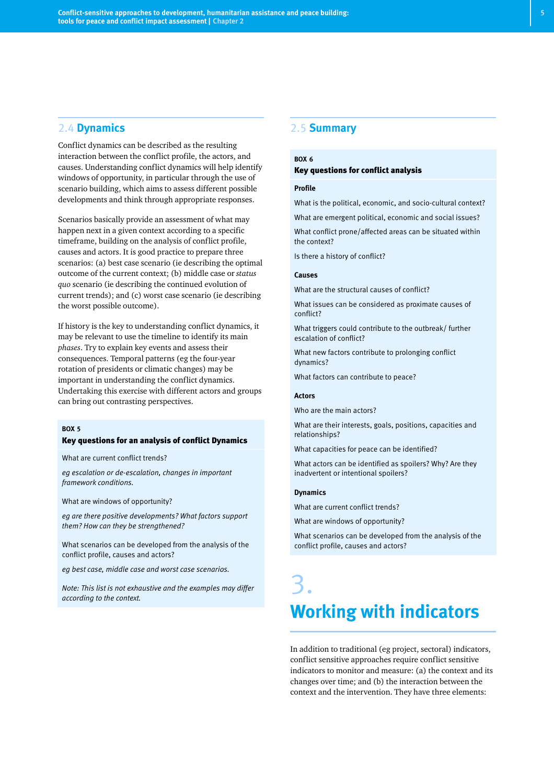### 2.4 **Dynamics**

Conflict dynamics can be described as the resulting interaction between the conflict profile, the actors, and causes. Understanding conflict dynamics will help identify windows of opportunity, in particular through the use of scenario building, which aims to assess different possible developments and think through appropriate responses.

Scenarios basically provide an assessment of what may happen next in a given context according to a specific timeframe, building on the analysis of conflict profile, causes and actors. It is good practice to prepare three scenarios: (a) best case scenario (ie describing the optimal outcome of the current context; (b) middle case or *status quo* scenario (ie describing the continued evolution of current trends); and (c) worst case scenario (ie describing the worst possible outcome).

If history is the key to understanding conflict dynamics, it may be relevant to use the timeline to identify its main *phases*. Try to explain key events and assess their consequences. Temporal patterns (eg the four-year rotation of presidents or climatic changes) may be important in understanding the conflict dynamics. Undertaking this exercise with different actors and groups can bring out contrasting perspectives.

#### **BOX 5**

#### Key questions for an analysis of conflict Dynamics

What are current conflict trends?

*eg escalation or de-escalation, changes in important framework conditions.*

What are windows of opportunity?

*eg are there positive developments? What factors support them? How can they be strengthened?*

What scenarios can be developed from the analysis of the conflict profile, causes and actors?

*eg best case, middle case and worst case scenarios.*

*Note: This list is not exhaustive and the examples may differ according to the context.*

### 2.5 **Summary**

#### **BOX 6** Key questions for conflict analysis

#### **Profile**

What is the political, economic, and socio-cultural context?

What are emergent political, economic and social issues?

What conflict prone/affected areas can be situated within the context?

Is there a history of conflict?

#### **Causes**

What are the structural causes of conflict?

What issues can be considered as proximate causes of conflict?

What triggers could contribute to the outbreak/ further escalation of conflict?

What new factors contribute to prolonging conflict dynamics?

What factors can contribute to peace?

#### **Actors**

Who are the main actors?

What are their interests, goals, positions, capacities and relationships?

What capacities for peace can be identified?

What actors can be identified as spoilers? Why? Are they inadvertent or intentional spoilers?

#### **Dynamics**

What are current conflict trends?

What are windows of opportunity?

What scenarios can be developed from the analysis of the conflict profile, causes and actors?

# 3. **Working with indicators**

In addition to traditional (eg project, sectoral) indicators, conflict sensitive approaches require conflict sensitive indicators to monitor and measure: (a) the context and its changes over time; and (b) the interaction between the context and the intervention. They have three elements: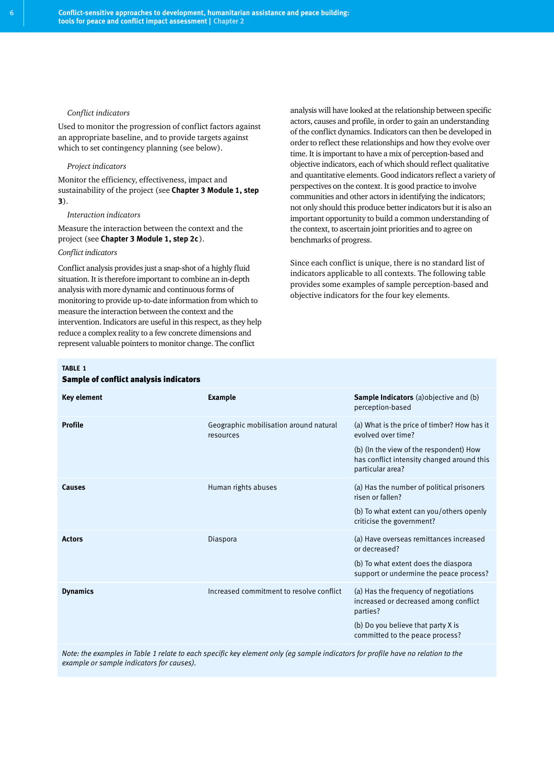#### ● *Conflict indicators*

Used to monitor the progression of conflict factors against an appropriate baseline, and to provide targets against which to set contingency planning (see below).

#### ● *Project indicators*

Monitor the efficiency, effectiveness, impact and sustainability of the project (see **Chapter 3 Module 1, step 3**).

#### ● *Interaction indicators*

Measure the interaction between the context and the project (see **Chapter 3 Module 1, step 2c**).

#### *Conflict indicators*

Conflict analysis provides just a snap-shot of a highly fluid situation. It is therefore important to combine an in-depth analysis with more dynamic and continuous forms of monitoring to provide up-to-date information from which to measure the interaction between the context and the intervention. Indicators are useful in this respect, as they help reduce a complex reality to a few concrete dimensions and represent valuable pointers to monitor change. The conflict

analysis will have looked at the relationship between specific actors, causes and profile, in order to gain an understanding of the conflict dynamics. Indicators can then be developed in order to reflect these relationships and how they evolve over time. It is important to have a mix of perception-based and objective indicators, each of which should reflect qualitative and quantitative elements. Good indicators reflect a variety of perspectives on the context. It is good practice to involve communities and other actors in identifying the indicators; not only should this produce better indicators but it is also an important opportunity to build a common understanding of the context, to ascertain joint priorities and to agree on benchmarks of progress.

Since each conflict is unique, there is no standard list of indicators applicable to all contexts. The following table provides some examples of sample perception-based and objective indicators for the four key elements.

#### **TABLE 1**

#### Sample of conflict analysis indicators

| Key element     | <b>Example</b>                                      | <b>Sample Indicators</b> (a) objective and (b)<br>perception-based                                                                                         |
|-----------------|-----------------------------------------------------|------------------------------------------------------------------------------------------------------------------------------------------------------------|
| <b>Profile</b>  | Geographic mobilisation around natural<br>resources | (a) What is the price of timber? How has it<br>evolved over time?<br>(b) (In the view of the respondent) How<br>has conflict intensity changed around this |
|                 |                                                     | particular area?                                                                                                                                           |
| Causes          | Human rights abuses                                 | (a) Has the number of political prisoners<br>risen or fallen?                                                                                              |
|                 |                                                     | (b) To what extent can you/others openly<br>criticise the government?                                                                                      |
| <b>Actors</b>   | Diaspora                                            | (a) Have overseas remittances increased<br>or decreased?                                                                                                   |
|                 |                                                     | (b) To what extent does the diaspora<br>support or undermine the peace process?                                                                            |
| <b>Dynamics</b> | Increased commitment to resolve conflict            | (a) Has the frequency of negotiations<br>increased or decreased among conflict<br>parties?                                                                 |
|                 |                                                     | (b) Do you believe that party X is<br>committed to the peace process?                                                                                      |
|                 |                                                     |                                                                                                                                                            |

*Note: the examples in Table 1 relate to each specific key element only (eg sample indicators for profile have no relation to the example or sample indicators for causes).*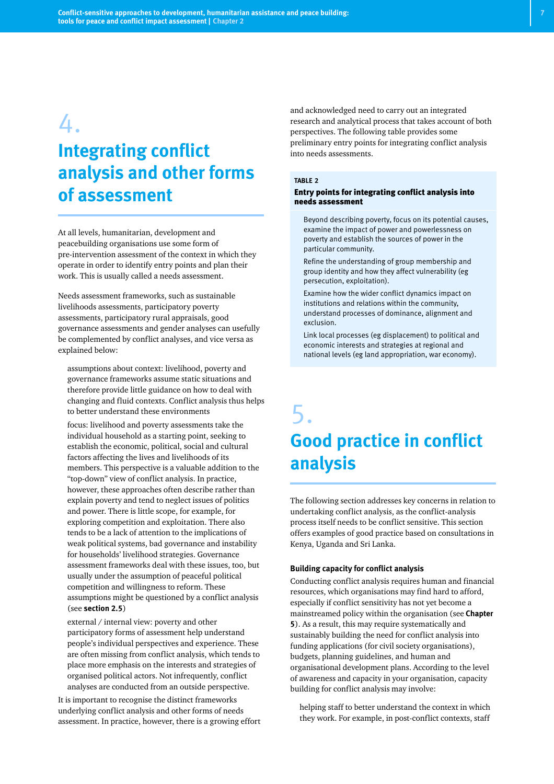# 4.

# **Integrating conflict analysis and other forms of assessment**

At all levels, humanitarian, development and peacebuilding organisations use some form of pre-intervention assessment of the context in which they operate in order to identify entry points and plan their work. This is usually called a needs assessment.

Needs assessment frameworks, such as sustainable livelihoods assessments, participatory poverty assessments, participatory rural appraisals, good governance assessments and gender analyses can usefully be complemented by conflict analyses, and vice versa as explained below:

- assumptions about context: livelihood, poverty and governance frameworks assume static situations and therefore provide little guidance on how to deal with changing and fluid contexts. Conflict analysis thus helps to better understand these environments
- focus: livelihood and poverty assessments take the individual household as a starting point, seeking to establish the economic, political, social and cultural factors affecting the lives and livelihoods of its members. This perspective is a valuable addition to the "top-down" view of conflict analysis. In practice, however, these approaches often describe rather than explain poverty and tend to neglect issues of politics and power. There is little scope, for example, for exploring competition and exploitation. There also tends to be a lack of attention to the implications of weak political systems, bad governance and instability for households' livelihood strategies. Governance assessment frameworks deal with these issues, too, but usually under the assumption of peaceful political competition and willingness to reform. These assumptions might be questioned by a conflict analysis (see **section 2.5**)
- external / internal view: poverty and other participatory forms of assessment help understand people's individual perspectives and experience. These are often missing from conflict analysis, which tends to place more emphasis on the interests and strategies of organised political actors. Not infrequently, conflict analyses are conducted from an outside perspective.

It is important to recognise the distinct frameworks underlying conflict analysis and other forms of needs assessment. In practice, however, there is a growing effort and acknowledged need to carry out an integrated research and analytical process that takes account of both perspectives. The following table provides some preliminary entry points for integrating conflict analysis into needs assessments.

#### **TABLE 2**

#### Entry points for integrating conflict analysis into needs assessment

- Beyond describing poverty, focus on its potential causes, examine the impact of power and powerlessness on poverty and establish the sources of power in the particular community.
- Refine the understanding of group membership and group identity and how they affect vulnerability (eg persecution, exploitation).
- Examine how the wider conflict dynamics impact on institutions and relations within the community, understand processes of dominance, alignment and exclusion.
- Link local processes (eg displacement) to political and economic interests and strategies at regional and national levels (eg land appropriation, war economy).

# 5. **Good practice in conflict analysis**

The following section addresses key concerns in relation to undertaking conflict analysis, as the conflict-analysis process itself needs to be conflict sensitive. This section offers examples of good practice based on consultations in Kenya, Uganda and Sri Lanka.

#### **Building capacity for conflict analysis**

Conducting conflict analysis requires human and financial resources, which organisations may find hard to afford, especially if conflict sensitivity has not yet become a mainstreamed policy within the organisation (see **Chapter 5**). As a result, this may require systematically and sustainably building the need for conflict analysis into funding applications (for civil society organisations), budgets, planning guidelines, and human and organisational development plans. According to the level of awareness and capacity in your organisation, capacity building for conflict analysis may involve:

● helping staff to better understand the context in which they work. For example, in post-conflict contexts, staff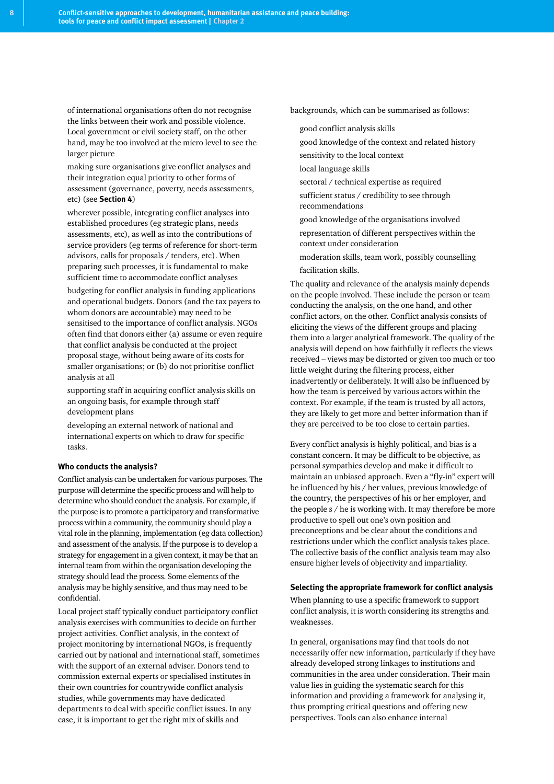of international organisations often do not recognise the links between their work and possible violence. Local government or civil society staff, on the other hand, may be too involved at the micro level to see the larger picture

- making sure organisations give conflict analyses and their integration equal priority to other forms of assessment (governance, poverty, needs assessments, etc) (see **Section 4**)
- wherever possible, integrating conflict analyses into established procedures (eg strategic plans, needs assessments, etc), as well as into the contributions of service providers (eg terms of reference for short-term advisors, calls for proposals / tenders, etc). When preparing such processes, it is fundamental to make sufficient time to accommodate conflict analyses
- budgeting for conflict analysis in funding applications and operational budgets. Donors (and the tax payers to whom donors are accountable) may need to be sensitised to the importance of conflict analysis. NGOs often find that donors either (a) assume or even require that conflict analysis be conducted at the project proposal stage, without being aware of its costs for smaller organisations; or (b) do not prioritise conflict analysis at all
- supporting staff in acquiring conflict analysis skills on an ongoing basis, for example through staff development plans
- developing an external network of national and international experts on which to draw for specific tasks.

#### **Who conducts the analysis?**

Conflict analysis can be undertaken for various purposes. The purpose will determine the specific process and will help to determine who should conduct the analysis. For example, if the purpose is to promote a participatory and transformative process within a community, the community should play a vital role in the planning, implementation (eg data collection) and assessment of the analysis. If the purpose is to develop a strategy for engagement in a given context, it may be that an internal team from within the organisation developing the strategy should lead the process. Some elements of the analysis may be highly sensitive, and thus may need to be confidential.

Local project staff typically conduct participatory conflict analysis exercises with communities to decide on further project activities. Conflict analysis, in the context of project monitoring by international NGOs, is frequently carried out by national and international staff, sometimes with the support of an external adviser. Donors tend to commission external experts or specialised institutes in their own countries for countrywide conflict analysis studies, while governments may have dedicated departments to deal with specific conflict issues. In any case, it is important to get the right mix of skills and

backgrounds, which can be summarised as follows:

- good conflict analysis skills
- good knowledge of the context and related history
- sensitivity to the local context
- local language skills
- sectoral / technical expertise as required
- sufficient status / credibility to see through recommendations
- good knowledge of the organisations involved
- representation of different perspectives within the context under consideration
- moderation skills, team work, possibly counselling
- facilitation skills.

The quality and relevance of the analysis mainly depends on the people involved. These include the person or team conducting the analysis, on the one hand, and other conflict actors, on the other. Conflict analysis consists of eliciting the views of the different groups and placing them into a larger analytical framework. The quality of the analysis will depend on how faithfully it reflects the views received – views may be distorted or given too much or too little weight during the filtering process, either inadvertently or deliberately. It will also be influenced by how the team is perceived by various actors within the context. For example, if the team is trusted by all actors, they are likely to get more and better information than if they are perceived to be too close to certain parties.

Every conflict analysis is highly political, and bias is a constant concern. It may be difficult to be objective, as personal sympathies develop and make it difficult to maintain an unbiased approach. Even a "fly-in" expert will be influenced by his / her values, previous knowledge of the country, the perspectives of his or her employer, and the people s / he is working with. It may therefore be more productive to spell out one's own position and preconceptions and be clear about the conditions and restrictions under which the conflict analysis takes place. The collective basis of the conflict analysis team may also ensure higher levels of objectivity and impartiality.

#### **Selecting the appropriate framework for conflict analysis**

When planning to use a specific framework to support conflict analysis, it is worth considering its strengths and weaknesses.

In general, organisations may find that tools do not necessarily offer new information, particularly if they have already developed strong linkages to institutions and communities in the area under consideration. Their main value lies in guiding the systematic search for this information and providing a framework for analysing it, thus prompting critical questions and offering new perspectives. Tools can also enhance internal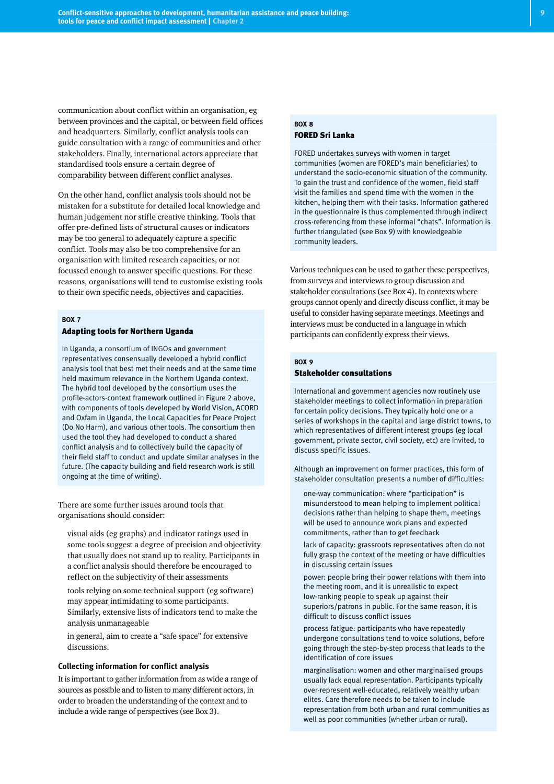communication about conflict within an organisation, eg between provinces and the capital, or between field offices and headquarters. Similarly, conflict analysis tools can guide consultation with a range of communities and other stakeholders. Finally, international actors appreciate that standardised tools ensure a certain degree of comparability between different conflict analyses.

On the other hand, conflict analysis tools should not be mistaken for a substitute for detailed local knowledge and human judgement nor stifle creative thinking. Tools that offer pre-defined lists of structural causes or indicators may be too general to adequately capture a specific conflict. Tools may also be too comprehensive for an organisation with limited research capacities, or not focussed enough to answer specific questions. For these reasons, organisations will tend to customise existing tools to their own specific needs, objectives and capacities.

#### **BOX 7**

#### Adapting tools for Northern Uganda

In Uganda, a consortium of INGOs and government representatives consensually developed a hybrid conflict analysis tool that best met their needs and at the same time held maximum relevance in the Northern Uganda context. The hybrid tool developed by the consortium uses the profile-actors-context framework outlined in Figure 2 above, with components of tools developed by World Vision, ACORD and Oxfam in Uganda, the Local Capacities for Peace Project (Do No Harm), and various other tools. The consortium then used the tool they had developed to conduct a shared conflict analysis and to collectively build the capacity of their field staff to conduct and update similar analyses in the future. (The capacity building and field research work is still ongoing at the time of writing).

There are some further issues around tools that organisations should consider:

- visual aids (eg graphs) and indicator ratings used in some tools suggest a degree of precision and objectivity that usually does not stand up to reality. Participants in a conflict analysis should therefore be encouraged to reflect on the subjectivity of their assessments
- tools relying on some technical support (eg software) may appear intimidating to some participants. Similarly, extensive lists of indicators tend to make the analysis unmanageable
- in general, aim to create a "safe space" for extensive discussions.

#### **Collecting information for conflict analysis**

It is important to gather information from as wide a range of sources as possible and to listen to many different actors, in order to broaden the understanding of the context and to include a wide range of perspectives (see Box 3).

# FORED Sri Lanka

**BOX 8**

FORED undertakes surveys with women in target communities (women are FORED's main beneficiaries) to understand the socio-economic situation of the community. To gain the trust and confidence of the women, field staff visit the families and spend time with the women in the kitchen, helping them with their tasks. Information gathered in the questionnaire is thus complemented through indirect cross-referencing from these informal "chats". Information is further triangulated (see Box 9) with knowledgeable community leaders.

Various techniques can be used to gather these perspectives, from surveys and interviews to group discussion and stakeholder consultations (see Box 4). In contexts where groups cannot openly and directly discuss conflict, it may be useful to consider having separate meetings. Meetings and interviews must be conducted in a language in which participants can confidently express their views.

#### **BOX 9** Stakeholder consultations

International and government agencies now routinely use stakeholder meetings to collect information in preparation for certain policy decisions. They typically hold one or a series of workshops in the capital and large district towns, to which representatives of different interest groups (eg local government, private sector, civil society, etc) are invited, to discuss specific issues.

Although an improvement on former practices, this form of stakeholder consultation presents a number of difficulties:

- one-way communication: where "participation" is misunderstood to mean helping to implement political decisions rather than helping to shape them, meetings will be used to announce work plans and expected commitments, rather than to get feedback
- lack of capacity: grassroots representatives often do not fully grasp the context of the meeting or have difficulties in discussing certain issues
- power: people bring their power relations with them into the meeting room, and it is unrealistic to expect low-ranking people to speak up against their superiors/patrons in public. For the same reason, it is difficult to discuss conflict issues
- process fatigue: participants who have repeatedly undergone consultations tend to voice solutions, before going through the step-by-step process that leads to the identification of core issues
- marginalisation: women and other marginalised groups usually lack equal representation. Participants typically over-represent well-educated, relatively wealthy urban elites. Care therefore needs to be taken to include representation from both urban and rural communities as well as poor communities (whether urban or rural).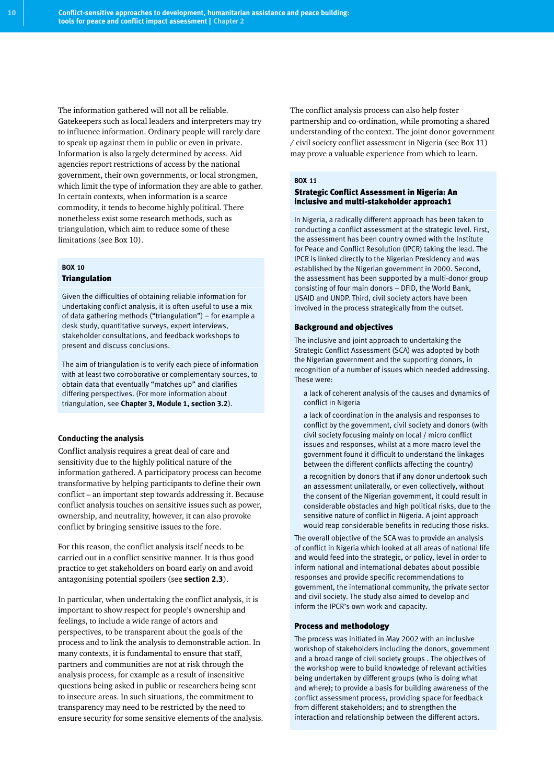The information gathered will not all be reliable. Gatekeepers such as local leaders and interpreters may try to influence information. Ordinary people will rarely dare to speak up against them in public or even in private. Information is also largely determined by access. Aid agencies report restrictions of access by the national government, their own governments, or local strongmen, which limit the type of information they are able to gather. In certain contexts, when information is a scarce commodity, it tends to become highly political. There nonetheless exist some research methods, such as triangulation, which aim to reduce some of these limitations (see Box 10).

### **BOX 10** Triangulation

Given the difficulties of obtaining reliable information for undertaking conflict analysis, it is often useful to use a mix of data gathering methods ("triangulation") – for example a desk study, quantitative surveys, expert interviews, stakeholder consultations, and feedback workshops to present and discuss conclusions.

The aim of triangulation is to verify each piece of information with at least two corroborative or complementary sources, to obtain data that eventually "matches up" and clarifies differing perspectives. (For more information about triangulation, see **Chapter 3, Module 1, section 3.2**).

#### **Conducting the analysis**

Conflict analysis requires a great deal of care and sensitivity due to the highly political nature of the information gathered. A participatory process can become transformative by helping participants to define their own conflict – an important step towards addressing it. Because conflict analysis touches on sensitive issues such as power, ownership, and neutrality, however, it can also provoke conflict by bringing sensitive issues to the fore.

For this reason, the conflict analysis itself needs to be carried out in a conflict sensitive manner. It is thus good practice to get stakeholders on board early on and avoid antagonising potential spoilers (see **section 2.3**).

In particular, when undertaking the conflict analysis, it is important to show respect for people's ownership and feelings, to include a wide range of actors and perspectives, to be transparent about the goals of the process and to link the analysis to demonstrable action. In many contexts, it is fundamental to ensure that staff, partners and communities are not at risk through the analysis process, for example as a result of insensitive questions being asked in public or researchers being sent to insecure areas. In such situations, the commitment to transparency may need to be restricted by the need to ensure security for some sensitive elements of the analysis. The conflict analysis process can also help foster partnership and co-ordination, while promoting a shared understanding of the context. The joint donor government / civil society conflict assessment in Nigeria (see Box 11) may prove a valuable experience from which to learn.

# **BOX 11**

### Strategic Conflict Assessment in Nigeria: An inclusive and multi-stakeholder approach1

In Nigeria, a radically different approach has been taken to conducting a conflict assessment at the strategic level. First, the assessment has been country owned with the Institute for Peace and Conflict Resolution (IPCR) taking the lead. The IPCR is linked directly to the Nigerian Presidency and was established by the Nigerian government in 2000. Second, the assessment has been supported by a multi-donor group consisting of four main donors – DFID, the World Bank, USAID and UNDP. Third, civil society actors have been involved in the process strategically from the outset.

#### Background and objectives

The inclusive and joint approach to undertaking the Strategic Conflict Assessment (SCA) was adopted by both the Nigerian government and the supporting donors, in recognition of a number of issues which needed addressing. These were:

- a lack of coherent analysis of the causes and dynamics of conflict in Nigeria
- a lack of coordination in the analysis and responses to conflict by the government, civil society and donors (with civil society focusing mainly on local / micro conflict issues and responses, whilst at a more macro level the government found it difficult to understand the linkages between the different conflicts affecting the country)
- a recognition by donors that if any donor undertook such an assessment unilaterally, or even collectively, without the consent of the Nigerian government, it could result in considerable obstacles and high political risks, due to the sensitive nature of conflict in Nigeria. A joint approach would reap considerable benefits in reducing those risks.

The overall objective of the SCA was to provide an analysis of conflict in Nigeria which looked at all areas of national life and would feed into the strategic, or policy, level in order to inform national and international debates about possible responses and provide specific recommendations to government, the international community, the private sector and civil society. The study also aimed to develop and inform the IPCR's own work and capacity.

#### Process and methodology

The process was initiated in May 2002 with an inclusive workshop of stakeholders including the donors, government and a broad range of civil society groups . The objectives of the workshop were to build knowledge of relevant activities being undertaken by different groups (who is doing what and where); to provide a basis for building awareness of the conflict assessment process, providing space for feedback from different stakeholders; and to strengthen the interaction and relationship between the different actors.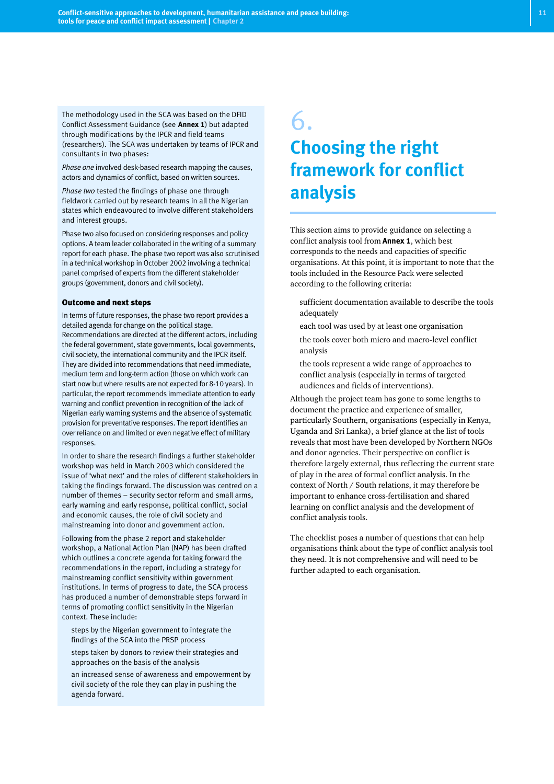The methodology used in the SCA was based on the DFID Conflict Assessment Guidance (see **Annex 1**) but adapted through modifications by the IPCR and field teams (researchers). The SCA was undertaken by teams of IPCR and consultants in two phases:

*Phase one* involved desk-based research mapping the causes, actors and dynamics of conflict, based on written sources.

*Phase two* tested the findings of phase one through fieldwork carried out by research teams in all the Nigerian states which endeavoured to involve different stakeholders and interest groups.

Phase two also focused on considering responses and policy options. A team leader collaborated in the writing of a summary report for each phase. The phase two report was also scrutinised in a technical workshop in October 2002 involving a technical panel comprised of experts from the different stakeholder groups (government, donors and civil society).

#### Outcome and next steps

In terms of future responses, the phase two report provides a detailed agenda for change on the political stage. Recommendations are directed at the different actors, including the federal government, state governments, local governments, civil society, the international community and the IPCR itself. They are divided into recommendations that need immediate, medium term and long-term action (those on which work can start now but where results are not expected for 8-10 years). In particular, the report recommends immediate attention to early warning and conflict prevention in recognition of the lack of Nigerian early warning systems and the absence of systematic provision for preventative responses. The report identifies an over reliance on and limited or even negative effect of military responses.

In order to share the research findings a further stakeholder workshop was held in March 2003 which considered the issue of 'what next' and the roles of different stakeholders in taking the findings forward. The discussion was centred on a number of themes – security sector reform and small arms, early warning and early response, political conflict, social and economic causes, the role of civil society and mainstreaming into donor and government action.

Following from the phase 2 report and stakeholder workshop, a National Action Plan (NAP) has been drafted which outlines a concrete agenda for taking forward the recommendations in the report, including a strategy for mainstreaming conflict sensitivity within government institutions. In terms of progress to date, the SCA process has produced a number of demonstrable steps forward in terms of promoting conflict sensitivity in the Nigerian context. These include:

- steps by the Nigerian government to integrate the findings of the SCA into the PRSP process
- steps taken by donors to review their strategies and approaches on the basis of the analysis
- an increased sense of awareness and empowerment by civil society of the role they can play in pushing the agenda forward.

# 6. **Choosing the right framework for conflict analysis**

This section aims to provide guidance on selecting a conflict analysis tool from **Annex 1**, which best corresponds to the needs and capacities of specific organisations. At this point, it is important to note that the tools included in the Resource Pack were selected according to the following criteria:

- sufficient documentation available to describe the tools adequately
- each tool was used by at least one organisation
- the tools cover both micro and macro-level conflict analysis
- the tools represent a wide range of approaches to conflict analysis (especially in terms of targeted audiences and fields of interventions).

Although the project team has gone to some lengths to document the practice and experience of smaller, particularly Southern, organisations (especially in Kenya, Uganda and Sri Lanka), a brief glance at the list of tools reveals that most have been developed by Northern NGOs and donor agencies. Their perspective on conflict is therefore largely external, thus reflecting the current state of play in the area of formal conflict analysis. In the context of North / South relations, it may therefore be important to enhance cross-fertilisation and shared learning on conflict analysis and the development of conflict analysis tools.

The checklist poses a number of questions that can help organisations think about the type of conflict analysis tool they need. It is not comprehensive and will need to be further adapted to each organisation.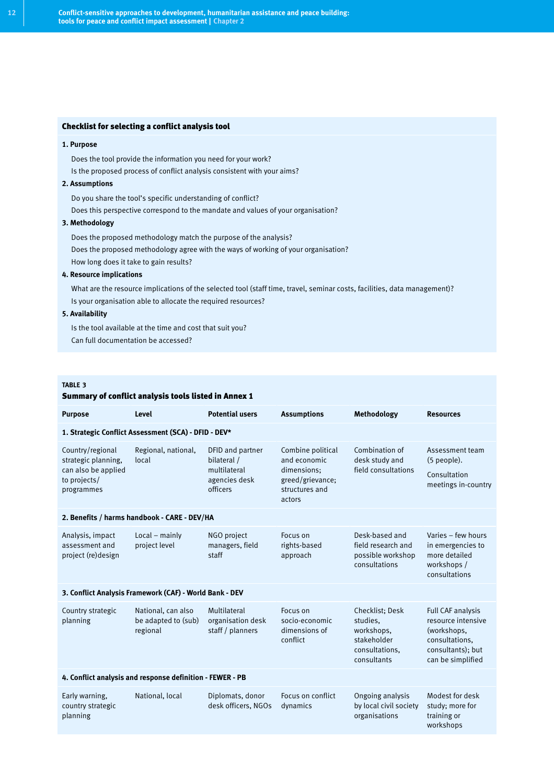#### Checklist for selecting a conflict analysis tool

#### **1. Purpose**

- Does the tool provide the information you need for your work?
- Is the proposed process of conflict analysis consistent with your aims?

#### **2. Assumptions**

- Do you share the tool's specific understanding of conflict?
- Does this perspective correspond to the mandate and values of your organisation?

#### **3. Methodology**

- Does the proposed methodology match the purpose of the analysis?
- Does the proposed methodology agree with the ways of working of your organisation?
- How long does it take to gain results?

#### **4. Resource implications**

- What are the resource implications of the selected tool (staff time, travel, seminar costs, facilities, data management)?
- Is your organisation able to allocate the required resources?

#### **5. Availability**

- Is the tool available at the time and cost that suit you?
- Can full documentation be accessed?

#### **TABLE 3**

#### Summary of conflict analysis tools listed in Annex 1

| <b>Purpose</b>                                                                               | Level                                                 | <b>Potential users</b>                                                       | <b>Assumptions</b>                                                                               | Methodology                                                                               | <b>Resources</b>                                                                                                          |  |
|----------------------------------------------------------------------------------------------|-------------------------------------------------------|------------------------------------------------------------------------------|--------------------------------------------------------------------------------------------------|-------------------------------------------------------------------------------------------|---------------------------------------------------------------------------------------------------------------------------|--|
| 1. Strategic Conflict Assessment (SCA) - DFID - DEV*                                         |                                                       |                                                                              |                                                                                                  |                                                                                           |                                                                                                                           |  |
| Country/regional<br>strategic planning,<br>can also be applied<br>to projects/<br>programmes | Regional, national,<br>local                          | DFID and partner<br>bilateral /<br>multilateral<br>agencies desk<br>officers | Combine political<br>and economic<br>dimensions:<br>greed/grievance;<br>structures and<br>actors | Combination of<br>desk study and<br>field consultations                                   | Assessment team<br>$(5$ people).<br>Consultation<br>meetings in-country                                                   |  |
| 2. Benefits / harms handbook - CARE - DEV/HA                                                 |                                                       |                                                                              |                                                                                                  |                                                                                           |                                                                                                                           |  |
| Analysis, impact<br>assessment and<br>project (re)design                                     | $Local - mainly$<br>project level                     | NGO project<br>managers, field<br>staff                                      | Focus on<br>rights-based<br>approach                                                             | Desk-based and<br>field research and<br>possible workshop<br>consultations                | Varies - few hours<br>in emergencies to<br>more detailed<br>workshops /<br>consultations                                  |  |
| 3. Conflict Analysis Framework (CAF) - World Bank - DEV                                      |                                                       |                                                                              |                                                                                                  |                                                                                           |                                                                                                                           |  |
| Country strategic<br>planning                                                                | National, can also<br>be adapted to (sub)<br>regional | Multilateral<br>organisation desk<br>staff / planners                        | Focus on<br>socio-economic<br>dimensions of<br>conflict                                          | Checklist: Desk<br>studies.<br>workshops,<br>stakeholder<br>consultations.<br>consultants | <b>Full CAF analysis</b><br>resource intensive<br>(workshops,<br>consultations.<br>consultants); but<br>can be simplified |  |
| 4. Conflict analysis and response definition - FEWER - PB                                    |                                                       |                                                                              |                                                                                                  |                                                                                           |                                                                                                                           |  |
| Early warning,<br>country strategic<br>planning                                              | National, local                                       | Diplomats, donor<br>desk officers, NGOs                                      | Focus on conflict<br>dynamics                                                                    | Ongoing analysis<br>by local civil society<br>organisations                               | Modest for desk<br>study; more for<br>training or<br>workshops                                                            |  |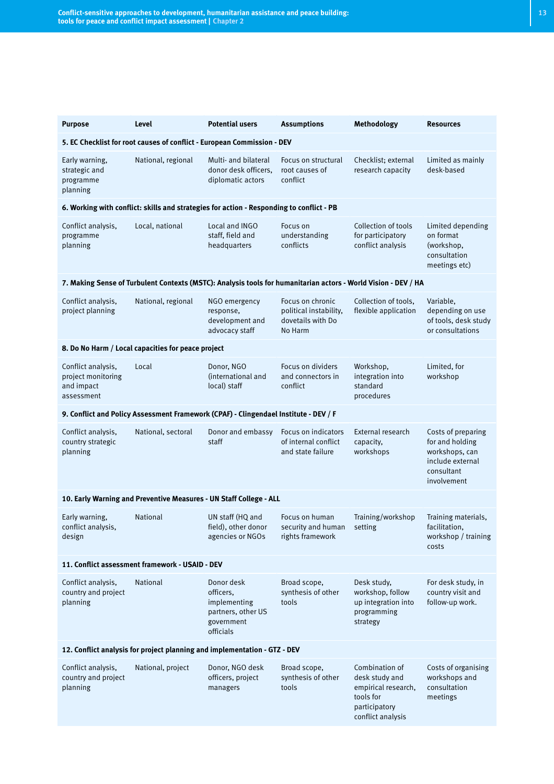| <b>Purpose</b>                                                            | Level                                              | <b>Potential users</b>                                                                   | <b>Assumptions</b>                                                                                             | Methodology                                                                                                | <b>Resources</b>                                                                                         |
|---------------------------------------------------------------------------|----------------------------------------------------|------------------------------------------------------------------------------------------|----------------------------------------------------------------------------------------------------------------|------------------------------------------------------------------------------------------------------------|----------------------------------------------------------------------------------------------------------|
| 5. EC Checklist for root causes of conflict - European Commission - DEV   |                                                    |                                                                                          |                                                                                                                |                                                                                                            |                                                                                                          |
| Early warning,<br>strategic and<br>programme<br>planning                  | National, regional                                 | Multi- and bilateral<br>donor desk officers.<br>diplomatic actors                        | Focus on structural<br>root causes of<br>conflict                                                              | Checklist; external<br>research capacity                                                                   | Limited as mainly<br>desk-based                                                                          |
|                                                                           |                                                    | 6. Working with conflict: skills and strategies for action - Responding to conflict - PB |                                                                                                                |                                                                                                            |                                                                                                          |
| Conflict analysis,<br>programme<br>planning                               | Local, national                                    | Local and INGO<br>staff, field and<br>headquarters                                       | Focus on<br>understanding<br>conflicts                                                                         | Collection of tools<br>for participatory<br>conflict analysis                                              | Limited depending<br>on format<br>(workshop,<br>consultation<br>meetings etc)                            |
|                                                                           |                                                    |                                                                                          | 7. Making Sense of Turbulent Contexts (MSTC): Analysis tools for humanitarian actors - World Vision - DEV / HA |                                                                                                            |                                                                                                          |
| Conflict analysis,<br>project planning                                    | National, regional                                 | NGO emergency<br>response,<br>development and<br>advocacy staff                          | Focus on chronic<br>political instability,<br>dovetails with Do<br>No Harm                                     | Collection of tools,<br>flexible application                                                               | Variable,<br>depending on use<br>of tools, desk study<br>or consultations                                |
|                                                                           | 8. Do No Harm / Local capacities for peace project |                                                                                          |                                                                                                                |                                                                                                            |                                                                                                          |
| Conflict analysis,<br>project monitoring<br>and impact<br>assessment      | Local                                              | Donor, NGO<br>(international and<br>local) staff                                         | Focus on dividers<br>and connectors in<br>conflict                                                             | Workshop,<br>integration into<br>standard<br>procedures                                                    | Limited, for<br>workshop                                                                                 |
|                                                                           |                                                    | 9. Conflict and Policy Assessment Framework (CPAF) - Clingendael Institute - DEV / F     |                                                                                                                |                                                                                                            |                                                                                                          |
| Conflict analysis,<br>country strategic<br>planning                       | National, sectoral                                 | Donor and embassy<br>staff                                                               | Focus on indicators<br>of internal conflict<br>and state failure                                               | External research<br>capacity,<br>workshops                                                                | Costs of preparing<br>for and holding<br>workshops, can<br>include external<br>consultant<br>involvement |
|                                                                           |                                                    | 10. Early Warning and Preventive Measures - UN Staff College - ALL                       |                                                                                                                |                                                                                                            |                                                                                                          |
| Early warning,<br>conflict analysis,<br>design                            | <b>National</b>                                    | UN staff (HQ and<br>field), other donor<br>agencies or NGOs                              | Focus on human<br>security and human setting<br>rights framework                                               | Training/workshop                                                                                          | Training materials,<br>facilitation,<br>workshop / training<br>costs                                     |
| 11. Conflict assessment framework - USAID - DEV                           |                                                    |                                                                                          |                                                                                                                |                                                                                                            |                                                                                                          |
| Conflict analysis,<br>country and project<br>planning                     | National                                           | Donor desk<br>officers.<br>implementing<br>partners, other US<br>government<br>officials | Broad scope,<br>synthesis of other<br>tools                                                                    | Desk study,<br>workshop, follow<br>up integration into<br>programming<br>strategy                          | For desk study, in<br>country visit and<br>follow-up work.                                               |
| 12. Conflict analysis for project planning and implementation - GTZ - DEV |                                                    |                                                                                          |                                                                                                                |                                                                                                            |                                                                                                          |
| Conflict analysis,<br>country and project<br>planning                     | National, project                                  | Donor, NGO desk<br>officers, project<br>managers                                         | Broad scope,<br>synthesis of other<br>tools                                                                    | Combination of<br>desk study and<br>empirical research,<br>tools for<br>participatory<br>conflict analysis | Costs of organising<br>workshops and<br>consultation<br>meetings                                         |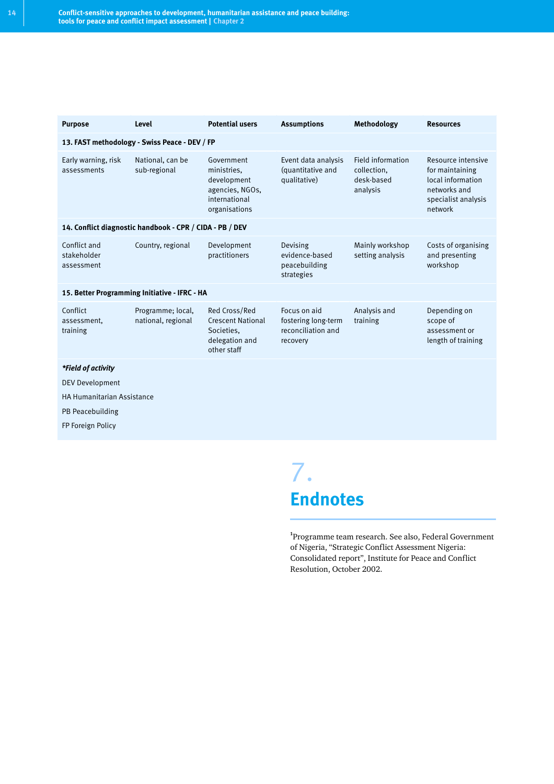| <b>Purpose</b>                                           | Level                                         | <b>Potential users</b>                                                                        | <b>Assumptions</b>                                                    | Methodology                                                | <b>Resources</b>                                                                                             |  |
|----------------------------------------------------------|-----------------------------------------------|-----------------------------------------------------------------------------------------------|-----------------------------------------------------------------------|------------------------------------------------------------|--------------------------------------------------------------------------------------------------------------|--|
| 13. FAST methodology - Swiss Peace - DEV / FP            |                                               |                                                                                               |                                                                       |                                                            |                                                                                                              |  |
| Early warning, risk<br>assessments                       | National, can be<br>sub-regional              | Government<br>ministries.<br>development<br>agencies, NGOs,<br>international<br>organisations | Event data analysis<br>(quantitative and<br>qualitative)              | Field information<br>collection,<br>desk-based<br>analysis | Resource intensive<br>for maintaining<br>local information<br>networks and<br>specialist analysis<br>network |  |
| 14. Conflict diagnostic handbook - CPR / CIDA - PB / DEV |                                               |                                                                                               |                                                                       |                                                            |                                                                                                              |  |
| Conflict and<br>stakeholder<br>assessment                | Country, regional                             | Development<br>practitioners                                                                  | Devising<br>evidence-based<br>peacebuilding<br>strategies             | Mainly workshop<br>setting analysis                        | Costs of organising<br>and presenting<br>workshop                                                            |  |
|                                                          | 15. Better Programming Initiative - IFRC - HA |                                                                                               |                                                                       |                                                            |                                                                                                              |  |
| Conflict<br>assessment.<br>training                      | Programme; local,<br>national, regional       | Red Cross/Red<br><b>Crescent National</b><br>Societies.<br>delegation and<br>other staff      | Focus on aid<br>fostering long-term<br>reconciliation and<br>recovery | Analysis and<br>training                                   | Depending on<br>scope of<br>assessment or<br>length of training                                              |  |
| *Field of activity                                       |                                               |                                                                                               |                                                                       |                                                            |                                                                                                              |  |
| <b>DEV Development</b>                                   |                                               |                                                                                               |                                                                       |                                                            |                                                                                                              |  |
| <b>HA Humanitarian Assistance</b>                        |                                               |                                                                                               |                                                                       |                                                            |                                                                                                              |  |
| PB Peacebuilding                                         |                                               |                                                                                               |                                                                       |                                                            |                                                                                                              |  |
| FP Foreign Policy                                        |                                               |                                                                                               |                                                                       |                                                            |                                                                                                              |  |
|                                                          |                                               |                                                                                               |                                                                       |                                                            |                                                                                                              |  |

7. **Endnotes**

**1** Programme team research. See also, Federal Government of Nigeria, "Strategic Conflict Assessment Nigeria: Consolidated report", Institute for Peace and Conflict Resolution, October 2002.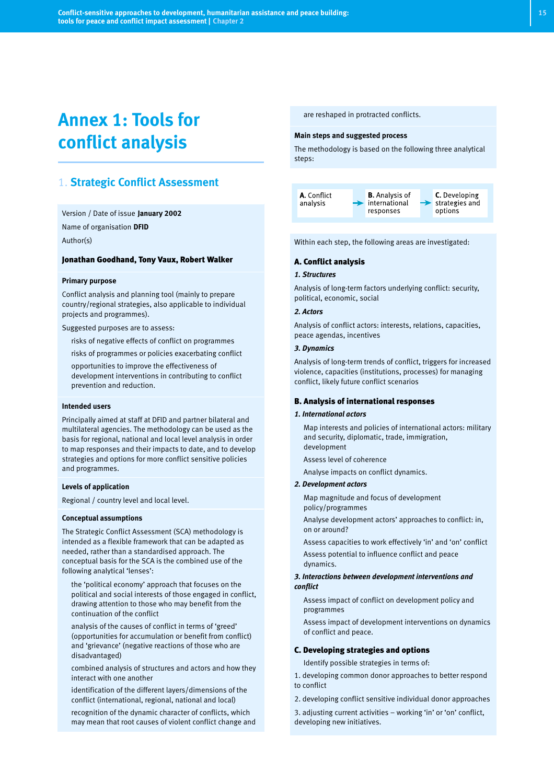# **Annex 1: Tools for conflict analysis**

# 1. **Strategic Conflict Assessment**

Version / Date of issue **January 2002** Name of organisation **DFID** Author(s)

#### Jonathan Goodhand, Tony Vaux, Robert Walker

#### **Primary purpose**

Conflict analysis and planning tool (mainly to prepare country/regional strategies, also applicable to individual projects and programmes).

Suggested purposes are to assess:

- risks of negative effects of conflict on programmes
- risks of programmes or policies exacerbating conflict
- opportunities to improve the effectiveness of development interventions in contributing to conflict prevention and reduction.

#### **Intended users**

Principally aimed at staff at DFID and partner bilateral and multilateral agencies. The methodology can be used as the basis for regional, national and local level analysis in order to map responses and their impacts to date, and to develop strategies and options for more conflict sensitive policies and programmes.

#### **Levels of application**

Regional / country level and local level.

#### **Conceptual assumptions**

The Strategic Conflict Assessment (SCA) methodology is intended as a flexible framework that can be adapted as needed, rather than a standardised approach. The conceptual basis for the SCA is the combined use of the following analytical 'lenses':

- the 'political economy' approach that focuses on the political and social interests of those engaged in conflict, drawing attention to those who may benefit from the continuation of the conflict
- analysis of the causes of conflict in terms of 'greed' (opportunities for accumulation or benefit from conflict) and 'grievance' (negative reactions of those who are disadvantaged)
- combined analysis of structures and actors and how they interact with one another
- identification of the different layers/dimensions of the conflict (international, regional, national and local)
- recognition of the dynamic character of conflicts, which may mean that root causes of violent conflict change and

are reshaped in protracted conflicts.

#### **Main steps and suggested process**

The methodology is based on the following three analytical steps:



Within each step, the following areas are investigated:

#### A. Conflict analysis

#### *1. Structures*

Analysis of long-term factors underlying conflict: security, political, economic, social

#### *2. Actors*

Analysis of conflict actors: interests, relations, capacities, peace agendas, incentives

#### *3. Dynamics*

Analysis of long-term trends of conflict, triggers for increased violence, capacities (institutions, processes) for managing conflict, likely future conflict scenarios

#### B. Analysis of international responses

#### *1. International actors*

- Map interests and policies of international actors: military and security, diplomatic, trade, immigration, development
- Assess level of coherence
- Analyse impacts on conflict dynamics.

#### *2. Development actors*

- Map magnitude and focus of development policy/programmes
- Analyse development actors' approaches to conflict: in, on or around?
- Assess capacities to work effectively 'in' and 'on' conflict
- Assess potential to influence conflict and peace dynamics.

#### *3. Interactions between development interventions and conflict*

- Assess impact of conflict on development policy and programmes
- Assess impact of development interventions on dynamics of conflict and peace.

#### C. Developing strategies and options

Identify possible strategies in terms of:

- 1. developing common donor approaches to better respond to conflict
- 2. developing conflict sensitive individual donor approaches
- 3. adjusting current activities working 'in' or 'on' conflict, developing new initiatives.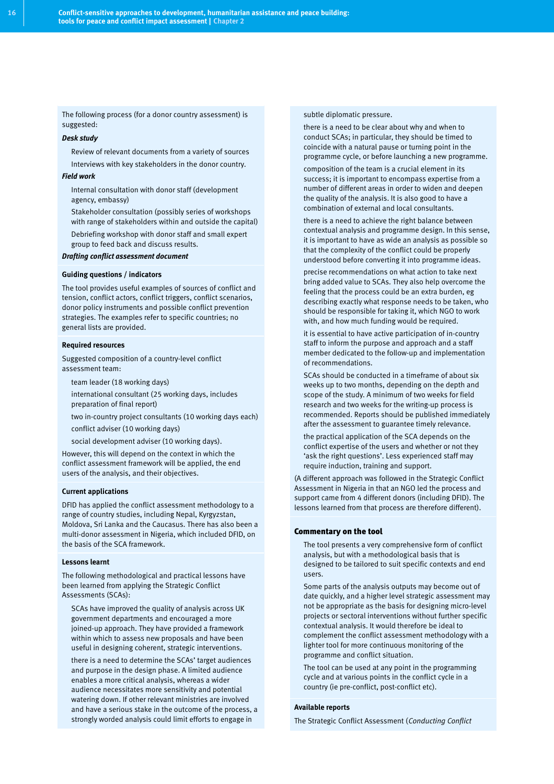The following process (for a donor country assessment) is suggested:

#### *Desk study*

Review of relevant documents from a variety of sources

Interviews with key stakeholders in the donor country. *Field work*

- Internal consultation with donor staff (development agency, embassy)
- Stakeholder consultation (possibly series of workshops with range of stakeholders within and outside the capital)
- Debriefing workshop with donor staff and small expert group to feed back and discuss results.

#### *Drafting conflict assessment document*

#### **Guiding questions / indicators**

The tool provides useful examples of sources of conflict and tension, conflict actors, conflict triggers, conflict scenarios, donor policy instruments and possible conflict prevention strategies. The examples refer to specific countries; no general lists are provided.

#### **Required resources**

Suggested composition of a country-level conflict assessment team:

- team leader (18 working days)
- international consultant (25 working days, includes preparation of final report)
- two in-country project consultants (10 working days each)
- conflict adviser (10 working days)
- social development adviser (10 working days).

However, this will depend on the context in which the conflict assessment framework will be applied, the end users of the analysis, and their objectives.

#### **Current applications**

DFID has applied the conflict assessment methodology to a range of country studies, including Nepal, Kyrgyzstan, Moldova, Sri Lanka and the Caucasus. There has also been a multi-donor assessment in Nigeria, which included DFID, on the basis of the SCA framework.

#### **Lessons learnt**

The following methodological and practical lessons have been learned from applying the Strategic Conflict Assessments (SCAs):

- SCAs have improved the quality of analysis across UK government departments and encouraged a more joined-up approach. They have provided a framework within which to assess new proposals and have been useful in designing coherent, strategic interventions.
- there is a need to determine the SCAs' target audiences and purpose in the design phase. A limited audience enables a more critical analysis, whereas a wider audience necessitates more sensitivity and potential watering down. If other relevant ministries are involved and have a serious stake in the outcome of the process, a strongly worded analysis could limit efforts to engage in

subtle diplomatic pressure.

- there is a need to be clear about why and when to conduct SCAs; in particular, they should be timed to coincide with a natural pause or turning point in the programme cycle, or before launching a new programme.
- composition of the team is a crucial element in its success; it is important to encompass expertise from a number of different areas in order to widen and deepen the quality of the analysis. It is also good to have a combination of external and local consultants.
- there is a need to achieve the right balance between contextual analysis and programme design. In this sense, it is important to have as wide an analysis as possible so that the complexity of the conflict could be properly understood before converting it into programme ideas.
- precise recommendations on what action to take next bring added value to SCAs. They also help overcome the feeling that the process could be an extra burden, eg describing exactly what response needs to be taken, who should be responsible for taking it, which NGO to work with, and how much funding would be required.
- it is essential to have active participation of in-country staff to inform the purpose and approach and a staff member dedicated to the follow-up and implementation of recommendations.
- SCAs should be conducted in a timeframe of about six weeks up to two months, depending on the depth and scope of the study. A minimum of two weeks for field research and two weeks for the writing-up process is recommended. Reports should be published immediately after the assessment to guarantee timely relevance.
- the practical application of the SCA depends on the conflict expertise of the users and whether or not they 'ask the right questions'. Less experienced staff may require induction, training and support.

(A different approach was followed in the Strategic Conflict Assessment in Nigeria in that an NGO led the process and support came from 4 different donors (including DFID). The lessons learned from that process are therefore different).

#### Commentary on the tool

- The tool presents a very comprehensive form of conflict analysis, but with a methodological basis that is designed to be tailored to suit specific contexts and end users.
- Some parts of the analysis outputs may become out of date quickly, and a higher level strategic assessment may not be appropriate as the basis for designing micro-level projects or sectoral interventions without further specific contextual analysis. It would therefore be ideal to complement the conflict assessment methodology with a lighter tool for more continuous monitoring of the programme and conflict situation.
- The tool can be used at any point in the programming cycle and at various points in the conflict cycle in a country (ie pre-conflict, post-conflict etc).

#### **Available reports**

The Strategic Conflict Assessment (*Conducting Conflict*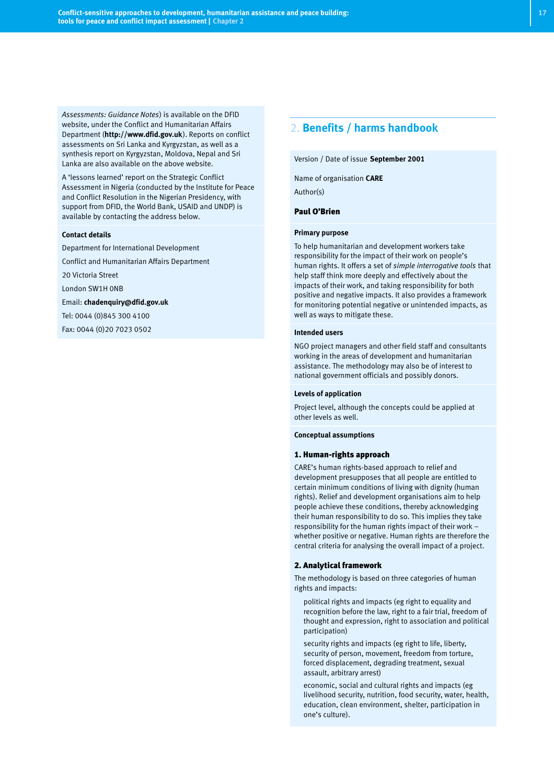*Assessments: Guidance Notes*) is available on the DFID website, under the Conflict and Humanitarian Affairs Department (**http://www.dfid.gov.uk**). Reports on conflict assessments on Sri Lanka and Kyrgyzstan, as well as a synthesis report on Kyrgyzstan, Moldova, Nepal and Sri Lanka are also available on the above website.

A 'lessons learned' report on the Strategic Conflict Assessment in Nigeria (conducted by the Institute for Peace and Conflict Resolution in the Nigerian Presidency, with support from DFID, the World Bank, USAID and UNDP) is available by contacting the address below.

#### **Contact details**

Department for International Development

Conflict and Humanitarian Affairs Department

20 Victoria Street

London SW1H 0NB

Email: **chadenquiry@dfid.gov.uk**

Tel: 0044 (0)845 300 4100

Fax: 0044 (0)20 7023 0502

# 2. **Benefits / harms handbook**

Version / Date of issue **September 2001**

#### Name of organisation **CARE**

Author(s)

#### Paul O'Brien

#### **Primary purpose**

To help humanitarian and development workers take responsibility for the impact of their work on people's human rights. It offers a set of *simple interrogative tools* that help staff think more deeply and effectively about the impacts of their work, and taking responsibility for both positive and negative impacts. It also provides a framework for monitoring potential negative or unintended impacts, as well as ways to mitigate these.

#### **Intended users**

NGO project managers and other field staff and consultants working in the areas of development and humanitarian assistance. The methodology may also be of interest to national government officials and possibly donors.

#### **Levels of application**

Project level, although the concepts could be applied at other levels as well.

#### **Conceptual assumptions**

#### 1. Human-rights approach

CARE's human rights-based approach to relief and development presupposes that all people are entitled to certain minimum conditions of living with dignity (human rights). Relief and development organisations aim to help people achieve these conditions, thereby acknowledging their human responsibility to do so. This implies they take responsibility for the human rights impact of their work – whether positive or negative. Human rights are therefore the central criteria for analysing the overall impact of a project.

#### 2. Analytical framework

The methodology is based on three categories of human rights and impacts:

- political rights and impacts (eg right to equality and recognition before the law, right to a fair trial, freedom of thought and expression, right to association and political participation)
- security rights and impacts (eg right to life, liberty, security of person, movement, freedom from torture, forced displacement, degrading treatment, sexual assault, arbitrary arrest)
- economic, social and cultural rights and impacts (eg livelihood security, nutrition, food security, water, health, education, clean environment, shelter, participation in one's culture).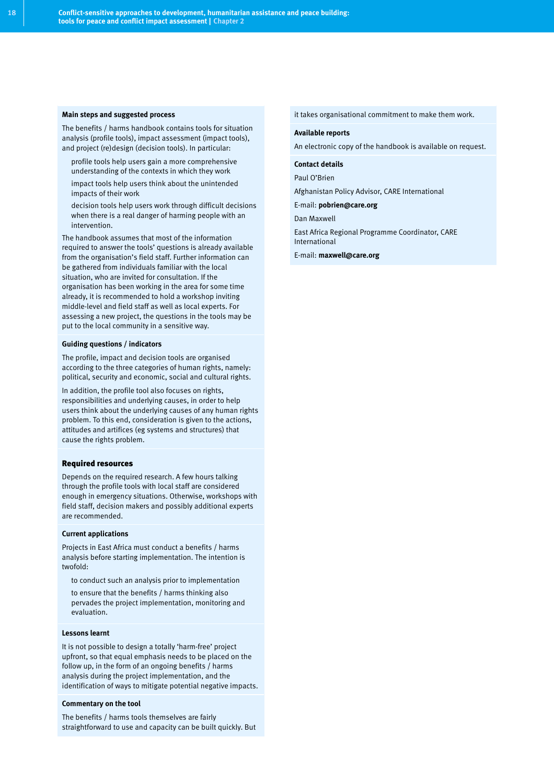#### **Main steps and suggested process**

The benefits / harms handbook contains tools for situation analysis (profile tools), impact assessment (impact tools), and project (re)design (decision tools). In particular:

- profile tools help users gain a more comprehensive understanding of the contexts in which they work
- impact tools help users think about the unintended impacts of their work
- decision tools help users work through difficult decisions when there is a real danger of harming people with an intervention.

The handbook assumes that most of the information required to answer the tools' questions is already available from the organisation's field staff. Further information can be gathered from individuals familiar with the local situation, who are invited for consultation. If the organisation has been working in the area for some time already, it is recommended to hold a workshop inviting middle-level and field staff as well as local experts. For assessing a new project, the questions in the tools may be put to the local community in a sensitive way.

#### **Guiding questions / indicators**

The profile, impact and decision tools are organised according to the three categories of human rights, namely: political, security and economic, social and cultural rights.

In addition, the profile tool also focuses on rights, responsibilities and underlying causes, in order to help users think about the underlying causes of any human rights problem. To this end, consideration is given to the actions, attitudes and artifices (eg systems and structures) that cause the rights problem.

#### Required resources

Depends on the required research. A few hours talking through the profile tools with local staff are considered enough in emergency situations. Otherwise, workshops with field staff, decision makers and possibly additional experts are recommended.

#### **Current applications**

Projects in East Africa must conduct a benefits / harms analysis before starting implementation. The intention is twofold:

- to conduct such an analysis prior to implementation
- to ensure that the benefits / harms thinking also pervades the project implementation, monitoring and evaluation.

#### **Lessons learnt**

It is not possible to design a totally 'harm-free' project upfront, so that equal emphasis needs to be placed on the follow up, in the form of an ongoing benefits / harms analysis during the project implementation, and the identification of ways to mitigate potential negative impacts.

#### **Commentary on the tool**

The benefits / harms tools themselves are fairly straightforward to use and capacity can be built quickly. But it takes organisational commitment to make them work.

#### **Available reports**

An electronic copy of the handbook is available on request.

#### **Contact details**

Paul O'Brien

Afghanistan Policy Advisor, CARE International

E-mail: **pobrien@care.org**

Dan Maxwell

East Africa Regional Programme Coordinator, CARE International

E-mail: **maxwell@care.org**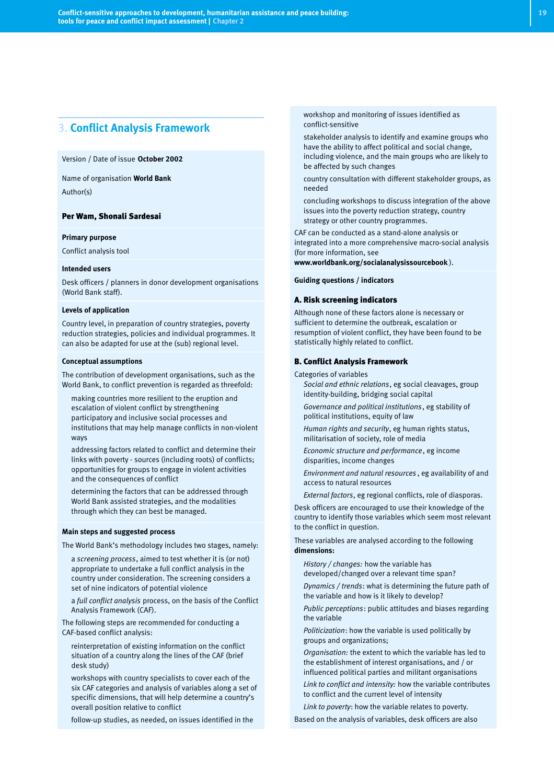# 3. **Conflict Analysis Framework**

#### Version / Date of issue **October 2002**

Name of organisation **World Bank** Author(s)

#### Per Wam, Shonali Sardesai

#### **Primary purpose**

Conflict analysis tool

#### **Intended users**

Desk officers / planners in donor development organisations (World Bank staff).

#### **Levels of application**

Country level, in preparation of country strategies, poverty reduction strategies, policies and individual programmes. It can also be adapted for use at the (sub) regional level.

#### **Conceptual assumptions**

The contribution of development organisations, such as the World Bank, to conflict prevention is regarded as threefold:

- making countries more resilient to the eruption and escalation of violent conflict by strengthening participatory and inclusive social processes and institutions that may help manage conflicts in non-violent ways
- addressing factors related to conflict and determine their links with poverty - sources (including roots) of conflicts; opportunities for groups to engage in violent activities and the consequences of conflict
- determining the factors that can be addressed through World Bank assisted strategies, and the modalities through which they can best be managed.

#### **Main steps and suggested process**

The World Bank's methodology includes two stages, namely:

- a *screening process*, aimed to test whether it is (or not) appropriate to undertake a full conflict analysis in the country under consideration. The screening considers a set of nine indicators of potential violence
- a *full conflict analysis* process, on the basis of the Conflict Analysis Framework (CAF).

The following steps are recommended for conducting a CAF-based conflict analysis:

- reinterpretation of existing information on the conflict situation of a country along the lines of the CAF (brief desk study)
- workshops with country specialists to cover each of the six CAF categories and analysis of variables along a set of specific dimensions, that will help determine a country's overall position relative to conflict
- follow-up studies, as needed, on issues identified in the

workshop and monitoring of issues identified as conflict-sensitive

- stakeholder analysis to identify and examine groups who have the ability to affect political and social change, including violence, and the main groups who are likely to be affected by such changes
- country consultation with different stakeholder groups, as needed
- concluding workshops to discuss integration of the above issues into the poverty reduction strategy, country strategy or other country programmes.

CAF can be conducted as a stand-alone analysis or integrated into a more comprehensive macro-social analysis (for more information, see

**www.worldbank.org/socialanalysissourcebook** ).

**Guiding questions / indicators**

#### A. Risk screening indicators

Although none of these factors alone is necessary or sufficient to determine the outbreak, escalation or resumption of violent conflict, they have been found to be statistically highly related to conflict.

#### B. Conflict Analysis Framework

Categories of variables

- *Social and ethnic relations*, eg social cleavages, group identity-building, bridging social capital
- *Governance and political institutions*, eg stability of political institutions, equity of law
- *Human rights and security*, eg human rights status, militarisation of society, role of media
- *Economic structure and performance*, eg income disparities, income changes
- *Environment and natural resources* , eg availability of and access to natural resources
- External factors, eg regional conflicts, role of diasporas.

Desk officers are encouraged to use their knowledge of the country to identify those variables which seem most relevant to the conflict in question.

These variables are analysed according to the following **dimensions:**

- *History / changes:* how the variable has developed/changed over a relevant time span?
- *Dynamics / trends*: what is determining the future path of the variable and how is it likely to develop?
- Public perceptions: public attitudes and biases regarding the variable
- *Politicization*: how the variable is used politically by groups and organizations;
- Organisation: the extent to which the variable has led to the establishment of interest organisations, and / or influenced political parties and militant organisations
- Link to conflict and intensity: how the variable contributes to conflict and the current level of intensity
- Link to poverty: how the variable relates to poverty.
- Based on the analysis of variables, desk officers are also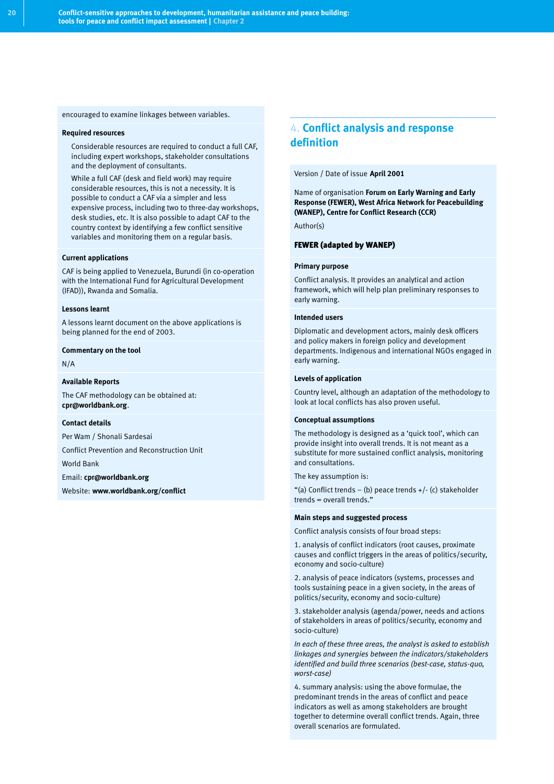encouraged to examine linkages between variables.

#### **Required resources**

- Considerable resources are required to conduct a full CAF, including expert workshops, stakeholder consultations and the deployment of consultants.
- While a full CAF (desk and field work) may require considerable resources, this is not a necessity. It is possible to conduct a CAF via a simpler and less expensive process, including two to three-day workshops, desk studies, etc. It is also possible to adapt CAF to the country context by identifying a few conflict sensitive variables and monitoring them on a regular basis.

#### **Current applications**

CAF is being applied to Venezuela, Burundi (in co-operation with the International Fund for Agricultural Development (IFAD)), Rwanda and Somalia.

#### **Lessons learnt**

A lessons learnt document on the above applications is being planned for the end of 2003.

#### **Commentary on the tool**

N/A

#### **Available Reports**

The CAF methodology can be obtained at: **cpr@worldbank.org**.

#### **Contact details**

Per Wam / Shonali Sardesai

Conflict Prevention and Reconstruction Unit

World Bank

#### Email: **cpr@worldbank.org**

Website: **www.worldbank.org/conflict**

# 4. **Conflict analysis and response definition**

#### Version / Date of issue **April 2001**

Name of organisation **Forum on Early Warning and Early Response (FEWER), West Africa Network for Peacebuilding (WANEP), Centre for Conflict Research (CCR)** Author(s)

#### FEWER (adapted by WANEP)

#### **Primary purpose**

Conflict analysis. It provides an analytical and action framework, which will help plan preliminary responses to early warning.

#### **Intended users**

Diplomatic and development actors, mainly desk officers and policy makers in foreign policy and development departments. Indigenous and international NGOs engaged in early warning.

#### **Levels of application**

Country level, although an adaptation of the methodology to look at local conflicts has also proven useful.

#### **Conceptual assumptions**

The methodology is designed as a 'quick tool', which can provide insight into overall trends. It is not meant as a substitute for more sustained conflict analysis, monitoring and consultations.

The key assumption is:

"(a) Conflict trends – (b) peace trends  $+$  / $\cdot$  (c) stakeholder trends = overall trends."

#### **Main steps and suggested process**

Conflict analysis consists of four broad steps:

1. analysis of conflict indicators (root causes, proximate causes and conflict triggers in the areas of politics/security, economy and socio-culture)

2. analysis of peace indicators (systems, processes and tools sustaining peace in a given society, in the areas of politics/security, economy and socio-culture)

3. stakeholder analysis (agenda/power, needs and actions of stakeholders in areas of politics/security, economy and socio-culture)

*In each of these three areas, the analyst is asked to establish linkages and synergies between the indicators/stakeholders identified and build three scenarios (best-case, status-quo, worst-case)*

4. summary analysis: using the above formulae, the predominant trends in the areas of conflict and peace indicators as well as among stakeholders are brought together to determine overall conflict trends. Again, three overall scenarios are formulated.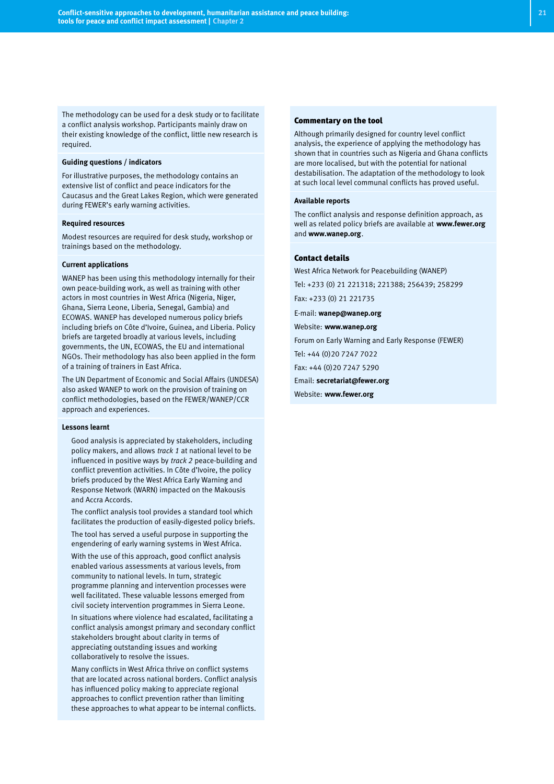The methodology can be used for a desk study or to facilitate a conflict analysis workshop. Participants mainly draw on their existing knowledge of the conflict, little new research is required.

#### **Guiding questions / indicators**

For illustrative purposes, the methodology contains an extensive list of conflict and peace indicators for the Caucasus and the Great Lakes Region, which were generated during FEWER's early warning activities.

#### **Required resources**

Modest resources are required for desk study, workshop or trainings based on the methodology.

#### **Current applications**

WANEP has been using this methodology internally for their own peace-building work, as well as training with other actors in most countries in West Africa (Nigeria, Niger, Ghana, Sierra Leone, Liberia, Senegal, Gambia) and ECOWAS. WANEP has developed numerous policy briefs including briefs on Côte d'Ivoire, Guinea, and Liberia. Policy briefs are targeted broadly at various levels, including governments, the UN, ECOWAS, the EU and international NGOs. Their methodology has also been applied in the form of a training of trainers in East Africa.

The UN Department of Economic and Social Affairs (UNDESA) also asked WANEP to work on the provision of training on conflict methodologies, based on the FEWER/WANEP/CCR approach and experiences.

#### **Lessons learnt**

- Good analysis is appreciated by stakeholders, including policy makers, and allows *track 1* at national level to be influenced in positive ways by *track 2* peace-building and conflict prevention activities. In Côte d'Ivoire, the policy briefs produced by the West Africa Early Warning and Response Network (WARN) impacted on the Makousis and Accra Accords.
- The conflict analysis tool provides a standard tool which facilitates the production of easily-digested policy briefs.
- The tool has served a useful purpose in supporting the engendering of early warning systems in West Africa.
- With the use of this approach, good conflict analysis enabled various assessments at various levels, from community to national levels. In turn, strategic programme planning and intervention processes were well facilitated. These valuable lessons emerged from civil society intervention programmes in Sierra Leone.
- In situations where violence had escalated, facilitating a conflict analysis amongst primary and secondary conflict stakeholders brought about clarity in terms of appreciating outstanding issues and working collaboratively to resolve the issues.
- Many conflicts in West Africa thrive on conflict systems that are located across national borders. Conflict analysis has influenced policy making to appreciate regional approaches to conflict prevention rather than limiting these approaches to what appear to be internal conflicts.

#### Commentary on the tool

Although primarily designed for country level conflict analysis, the experience of applying the methodology has shown that in countries such as Nigeria and Ghana conflicts are more localised, but with the potential for national destabilisation. The adaptation of the methodology to look at such local level communal conflicts has proved useful.

#### **Available reports**

The conflict analysis and response definition approach, as well as related policy briefs are available at **www.fewer.org** and **www.wanep.org**.

#### Contact details

West Africa Network for Peacebuilding (WANEP)

Tel: +233 (0) 21 221318; 221388; 256439; 258299

Fax: +233 (0) 21 221735

E-mail: **wanep@wanep.org**

Website: **www.wanep.org**

Forum on Early Warning and Early Response (FEWER)

Tel: +44 (0)20 7247 7022

Fax: +44 (0)20 7247 5290

Email: **secretariat@fewer.org**

Website: **www.fewer.org**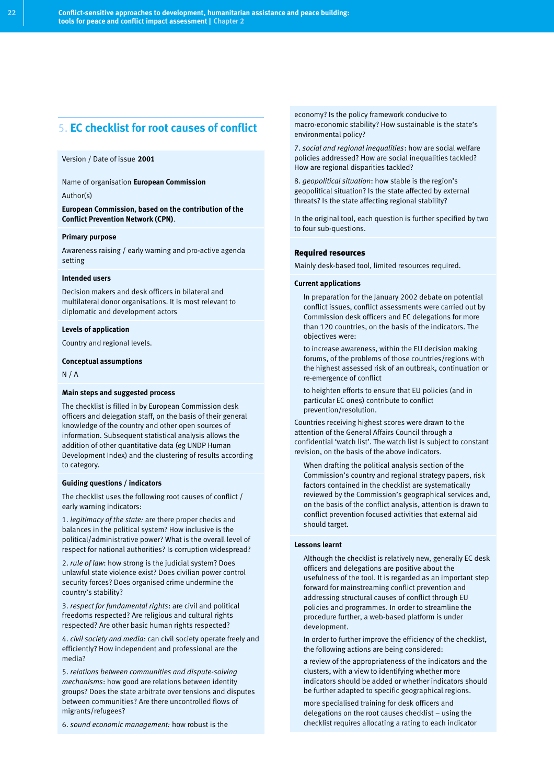# 5. **EC checklist for root causes of conflict**

#### Version / Date of issue **2001**

Name of organisation **European Commission**

Author(s)

**European Commission, based on the contribution of the Conflict Prevention Network (CPN)**.

#### **Primary purpose**

Awareness raising / early warning and pro-active agenda setting

#### **Intended users**

Decision makers and desk officers in bilateral and multilateral donor organisations. It is most relevant to diplomatic and development actors

#### **Levels of application**

Country and regional levels.

#### **Conceptual assumptions**

N / A

#### **Main steps and suggested process**

The checklist is filled in by European Commission desk officers and delegation staff, on the basis of their general knowledge of the country and other open sources of information. Subsequent statistical analysis allows the addition of other quantitative data (eg UNDP Human Development Index) and the clustering of results according to category.

#### **Guiding questions / indicators**

The checklist uses the following root causes of conflict / early warning indicators:

1. *legitimacy of the state:* are there proper checks and balances in the political system? How inclusive is the political/administrative power? What is the overall level of respect for national authorities? Is corruption widespread?

2. *rule of law*: how strong is the judicial system? Does unlawful state violence exist? Does civilian power control security forces? Does organised crime undermine the country's stability?

3. *respect for fundamental rights*: are civil and political freedoms respected? Are religious and cultural rights respected? Are other basic human rights respected?

4. *civil society and media:* can civil society operate freely and efficiently? How independent and professional are the media?

5. *relations between communities and dispute-solving mechanisms*: how good are relations between identity groups? Does the state arbitrate over tensions and disputes between communities? Are there uncontrolled flows of migrants/refugees?

6. *sound economic management:* how robust is the

economy? Is the policy framework conducive to macro-economic stability? How sustainable is the state's environmental policy?

7. *social and regional inequalities*: how are social welfare policies addressed? How are social inequalities tackled? How are regional disparities tackled?

8. *geopolitical situation*: how stable is the region's geopolitical situation? Is the state affected by external threats? Is the state affecting regional stability?

In the original tool, each question is further specified by two to four sub-questions.

#### Required resources

Mainly desk-based tool, limited resources required.

#### **Current applications**

- In preparation for the January 2002 debate on potential conflict issues, conflict assessments were carried out by Commission desk officers and EC delegations for more than 120 countries, on the basis of the indicators. The objectives were:
- to increase awareness, within the EU decision making forums, of the problems of those countries/regions with the highest assessed risk of an outbreak, continuation or re-emergence of conflict
- to heighten efforts to ensure that EU policies (and in particular EC ones) contribute to conflict prevention/resolution.

Countries receiving highest scores were drawn to the attention of the General Affairs Council through a confidential 'watch list'. The watch list is subject to constant revision, on the basis of the above indicators.

When drafting the political analysis section of the Commission's country and regional strategy papers, risk factors contained in the checklist are systematically reviewed by the Commission's geographical services and, on the basis of the conflict analysis, attention is drawn to conflict prevention focused activities that external aid should target.

#### **Lessons learnt**

- Although the checklist is relatively new, generally EC desk officers and delegations are positive about the usefulness of the tool. It is regarded as an important step forward for mainstreaming conflict prevention and addressing structural causes of conflict through EU policies and programmes. In order to streamline the procedure further, a web-based platform is under development.
- In order to further improve the efficiency of the checklist, the following actions are being considered:
- a review of the appropriateness of the indicators and the clusters, with a view to identifying whether more indicators should be added or whether indicators should be further adapted to specific geographical regions.
- more specialised training for desk officers and delegations on the root causes checklist – using the checklist requires allocating a rating to each indicator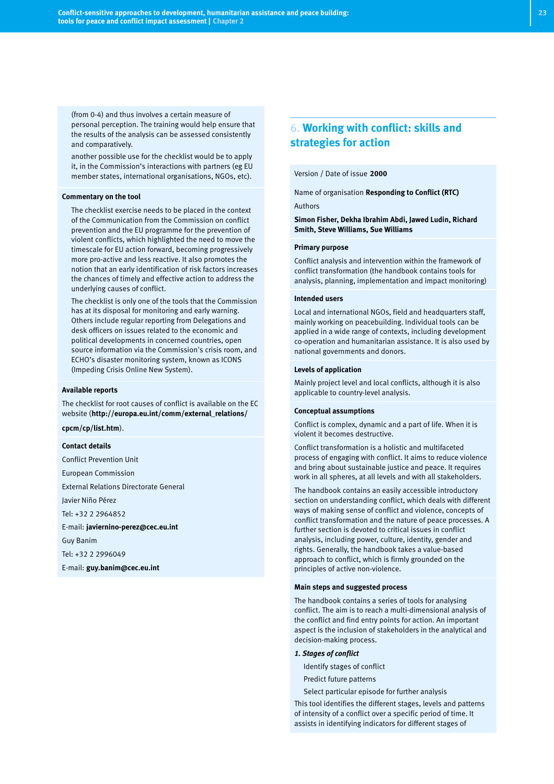(from 0-4) and thus involves a certain measure of personal perception. The training would help ensure that the results of the analysis can be assessed consistently and comparatively.

another possible use for the checklist would be to apply it, in the Commission's interactions with partners (eg EU member states, international organisations, NGOs, etc).

#### **Commentary on the tool**

- The checklist exercise needs to be placed in the context of the Communication from the Commission on conflict prevention and the EU programme for the prevention of violent conflicts, which highlighted the need to move the timescale for EU action forward, becoming progressively more pro-active and less reactive. It also promotes the notion that an early identification of risk factors increases the chances of timely and effective action to address the underlying causes of conflict.
- The checklist is only one of the tools that the Commission has at its disposal for monitoring and early warning. Others include regular reporting from Delegations and desk officers on issues related to the economic and political developments in concerned countries, open source information via the Commission's crisis room, and ECHO's disaster monitoring system, known as ICONS (Impeding Crisis Online New System).

#### **Available reports**

The checklist for root causes of conflict is available on the EC website (**http://europa.eu.int/comm/external\_relations/**

#### **cpcm/cp/list.htm**).

#### **Contact details**

Conflict Prevention Unit European Commission External Relations Directorate General Javier Niño Pérez Tel: +32 2 2964852 E-mail: **javiernino-perez@cec.eu.int** Guy Banim Tel: +32 2 2996049

E-mail: **guy.banim@cec.eu.int**

# 6. **Working with conflict: skills and strategies for action**

#### Version / Date of issue **2000**

Name of organisation **Responding to Conflict (RTC)** Authors

**Simon Fisher, Dekha Ibrahim Abdi, Jawed Ludin, Richard Smith, Steve Williams, Sue Williams**

#### **Primary purpose**

Conflict analysis and intervention within the framework of conflict transformation (the handbook contains tools for analysis, planning, implementation and impact monitoring)

#### **Intended users**

Local and international NGOs, field and headquarters staff, mainly working on peacebuilding. Individual tools can be applied in a wide range of contexts, including development co-operation and humanitarian assistance. It is also used by national governments and donors.

#### **Levels of application**

Mainly project level and local conflicts, although it is also applicable to country-level analysis.

#### **Conceptual assumptions**

Conflict is complex, dynamic and a part of life. When it is violent it becomes destructive.

Conflict transformation is a holistic and multifaceted process of engaging with conflict. It aims to reduce violence and bring about sustainable justice and peace. It requires work in all spheres, at all levels and with all stakeholders.

The handbook contains an easily accessible introductory section on understanding conflict, which deals with different ways of making sense of conflict and violence, concepts of conflict transformation and the nature of peace processes. A further section is devoted to critical issues in conflict analysis, including power, culture, identity, gender and rights. Generally, the handbook takes a value-based approach to conflict, which is firmly grounded on the principles of active non-violence.

#### **Main steps and suggested process**

The handbook contains a series of tools for analysing conflict. The aim is to reach a multi-dimensional analysis of the conflict and find entry points for action. An important aspect is the inclusion of stakeholders in the analytical and decision-making process.

#### *1. Stages of conflict*

- Identify stages of conflict
- Predict future patterns
- Select particular episode for further analysis

This tool identifies the different stages, levels and patterns of intensity of a conflict over a specific period of time. It assists in identifying indicators for different stages of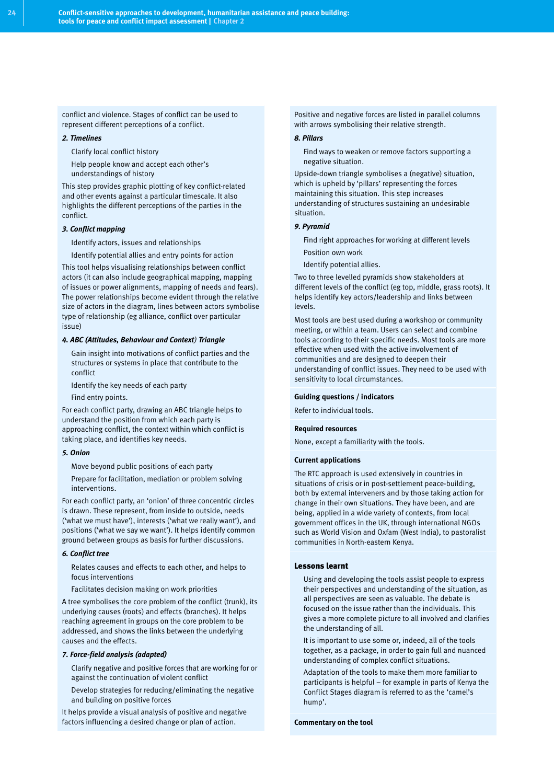conflict and violence. Stages of conflict can be used to represent different perceptions of a conflict.

#### *2. Timelines*

- Clarify local conflict history
- Help people know and accept each other's understandings of history

This step provides graphic plotting of key conflict-related and other events against a particular timescale. It also highlights the different perceptions of the parties in the conflict.

#### *3. Conflict mapping*

- Identify actors, issues and relationships
- Identify potential allies and entry points for action

This tool helps visualising relationships between conflict actors (it can also include geographical mapping, mapping of issues or power alignments, mapping of needs and fears). The power relationships become evident through the relative size of actors in the diagram, lines between actors symbolise type of relationship (eg alliance, conflict over particular issue)

#### *4. ABC (Attitudes, Behaviour and Context) Triangle*

- Gain insight into motivations of conflict parties and the structures or systems in place that contribute to the conflict
- Identify the key needs of each party
- Find entry points.

For each conflict party, drawing an ABC triangle helps to understand the position from which each party is approaching conflict, the context within which conflict is taking place, and identifies key needs.

#### *5. Onion*

- Move beyond public positions of each party
- Prepare for facilitation, mediation or problem solving interventions.

For each conflict party, an 'onion' of three concentric circles is drawn. These represent, from inside to outside, needs ('what we must have'), interests ('what we really want'), and positions ('what we say we want'). It helps identify common ground between groups as basis for further discussions.

#### *6. Conflict tree*

- Relates causes and effects to each other, and helps to focus interventions
- Facilitates decision making on work priorities

A tree symbolises the core problem of the conflict (trunk), its underlying causes (roots) and effects (branches). It helps reaching agreement in groups on the core problem to be addressed, and shows the links between the underlying causes and the effects.

#### *7. Force-field analysis (adapted)*

- Clarify negative and positive forces that are working for or against the continuation of violent conflict
- Develop strategies for reducing/eliminating the negative and building on positive forces

It helps provide a visual analysis of positive and negative factors influencing a desired change or plan of action.

Positive and negative forces are listed in parallel columns with arrows symbolising their relative strength.

#### *8. Pillars*

Find ways to weaken or remove factors supporting a negative situation.

Upside-down triangle symbolises a (negative) situation, which is upheld by 'pillars' representing the forces maintaining this situation. This step increases understanding of structures sustaining an undesirable situation.

#### *9. Pyramid*

- Find right approaches for working at different levels
- Position own work
- Identify potential allies.

Two to three levelled pyramids show stakeholders at different levels of the conflict (eg top, middle, grass roots). It helps identify key actors/leadership and links between levels.

Most tools are best used during a workshop or community meeting, or within a team. Users can select and combine tools according to their specific needs. Most tools are more effective when used with the active involvement of communities and are designed to deepen their understanding of conflict issues. They need to be used with sensitivity to local circumstances.

#### **Guiding questions / indicators**

Refer to individual tools.

#### **Required resources**

None, except a familiarity with the tools.

#### **Current applications**

The RTC approach is used extensively in countries in situations of crisis or in post-settlement peace-building, both by external interveners and by those taking action for change in their own situations. They have been, and are being, applied in a wide variety of contexts, from local government offices in the UK, through international NGOs such as World Vision and Oxfam (West India), to pastoralist communities in North-eastern Kenya.

#### Lessons learnt

- Using and developing the tools assist people to express their perspectives and understanding of the situation, as all perspectives are seen as valuable. The debate is focused on the issue rather than the individuals. This gives a more complete picture to all involved and clarifies the understanding of all.
- It is important to use some or, indeed, all of the tools together, as a package, in order to gain full and nuanced understanding of complex conflict situations.
- Adaptation of the tools to make them more familiar to participants is helpful – for example in parts of Kenya the Conflict Stages diagram is referred to as the 'camel's hump'.

#### **Commentary on the tool**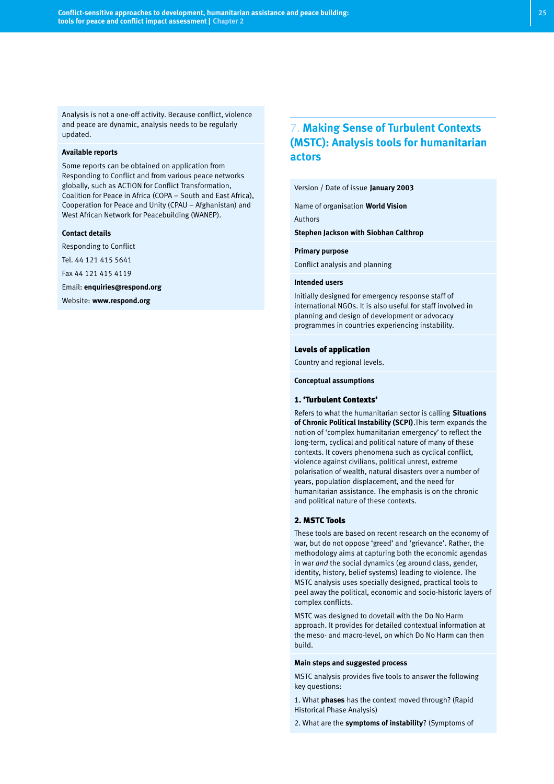Analysis is not a one-off activity. Because conflict, violence and peace are dynamic, analysis needs to be regularly updated.

#### **Available reports**

Some reports can be obtained on application from Responding to Conflict and from various peace networks globally, such as ACTION for Conflict Transformation, Coalition for Peace in Africa (COPA – South and East Africa), Cooperation for Peace and Unity (CPAU – Afghanistan) and West African Network for Peacebuilding (WANEP).

#### **Contact details**

Responding to Conflict

Tel. 44 121 415 5641

Fax 44 121 415 4119

Email: **enquiries@respond.org**

Website: **www.respond.org**

# 7. **Making Sense of Turbulent Contexts (MSTC): Analysis tools for humanitarian actors**

#### Version / Date of issue **January 2003**

Name of organisation **World Vision**

Authors

**Stephen Jackson with Siobhan Calthrop**

#### **Primary purpose**

Conflict analysis and planning

#### **Intended users**

Initially designed for emergency response staff of international NGOs. It is also useful for staff involved in planning and design of development or advocacy programmes in countries experiencing instability.

#### Levels of application

Country and regional levels.

**Conceptual assumptions**

#### 1. 'Turbulent Contexts'

Refers to what the humanitarian sector is calling **Situations of Chronic Political Instability (SCPI)**.This term expands the notion of 'complex humanitarian emergency' to reflect the long-term, cyclical and political nature of many of these contexts. It covers phenomena such as cyclical conflict, violence against civilians, political unrest, extreme polarisation of wealth, natural disasters over a number of years, population displacement, and the need for humanitarian assistance. The emphasis is on the chronic and political nature of these contexts.

#### 2. MSTC Tools

These tools are based on recent research on the economy of war, but do not oppose 'greed' and 'grievance'. Rather, the methodology aims at capturing both the economic agendas in war *and* the social dynamics (eg around class, gender, identity, history, belief systems) leading to violence. The MSTC analysis uses specially designed, practical tools to peel away the political, economic and socio-historic layers of complex conflicts.

MSTC was designed to dovetail with the Do No Harm approach. It provides for detailed contextual information at the meso- and macro-level, on which Do No Harm can then build.

#### **Main steps and suggested process**

MSTC analysis provides five tools to answer the following key questions:

1. What **phases** has the context moved through? (Rapid Historical Phase Analysis)

2. What are the **symptoms of instability**? (Symptoms of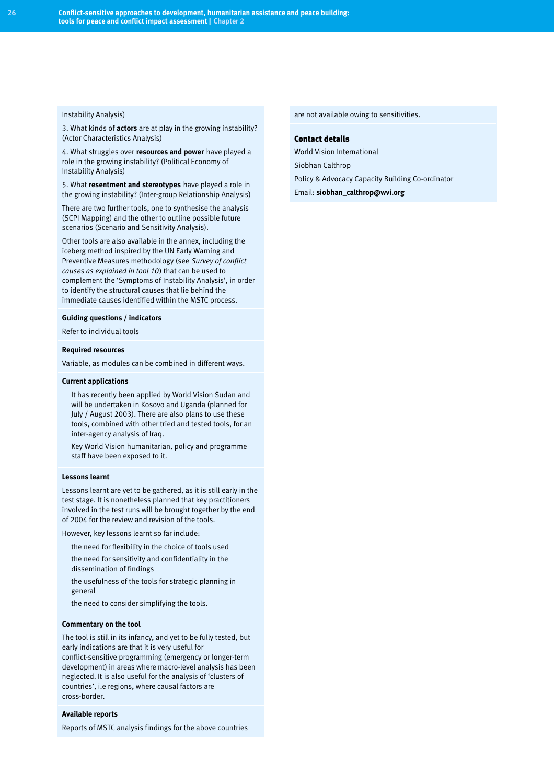#### Instability Analysis)

3. What kinds of **actors** are at play in the growing instability? (Actor Characteristics Analysis)

4. What struggles over **resources and power** have played a role in the growing instability? (Political Economy of Instability Analysis)

5. What **resentment and stereotypes** have played a role in the growing instability? (Inter-group Relationship Analysis)

There are two further tools, one to synthesise the analysis (SCPI Mapping) and the other to outline possible future scenarios (Scenario and Sensitivity Analysis).

Other tools are also available in the annex, including the iceberg method inspired by the UN Early Warning and Preventive Measures methodology (see *Survey of conflict causes as explained in tool 10*) that can be used to complement the 'Symptoms of Instability Analysis', in order to identify the structural causes that lie behind the immediate causes identified within the MSTC process.

#### **Guiding questions / indicators**

Refer to individual tools

#### **Required resources**

Variable, as modules can be combined in different ways.

#### **Current applications**

- It has recently been applied by World Vision Sudan and will be undertaken in Kosovo and Uganda (planned for July / August 2003). There are also plans to use these tools, combined with other tried and tested tools, for an inter-agency analysis of Iraq.
- Key World Vision humanitarian, policy and programme staff have been exposed to it.

#### **Lessons learnt**

Lessons learnt are yet to be gathered, as it is still early in the test stage. It is nonetheless planned that key practitioners involved in the test runs will be brought together by the end of 2004 for the review and revision of the tools.

However, key lessons learnt so far include:

- the need for flexibility in the choice of tools used
- the need for sensitivity and confidentiality in the dissemination of findings
- the usefulness of the tools for strategic planning in general
- the need to consider simplifying the tools.

#### **Commentary on the tool**

The tool is still in its infancy, and yet to be fully tested, but early indications are that it is very useful for conflict-sensitive programming (emergency or longer-term development) in areas where macro-level analysis has been neglected. It is also useful for the analysis of 'clusters of countries', i.e regions, where causal factors are cross-border.

#### **Available reports**

Reports of MSTC analysis findings for the above countries

are not available owing to sensitivities.

### Contact details

World Vision International Siobhan Calthrop Policy & Advocacy Capacity Building Co-ordinator

Email: **siobhan\_calthrop@wvi.org**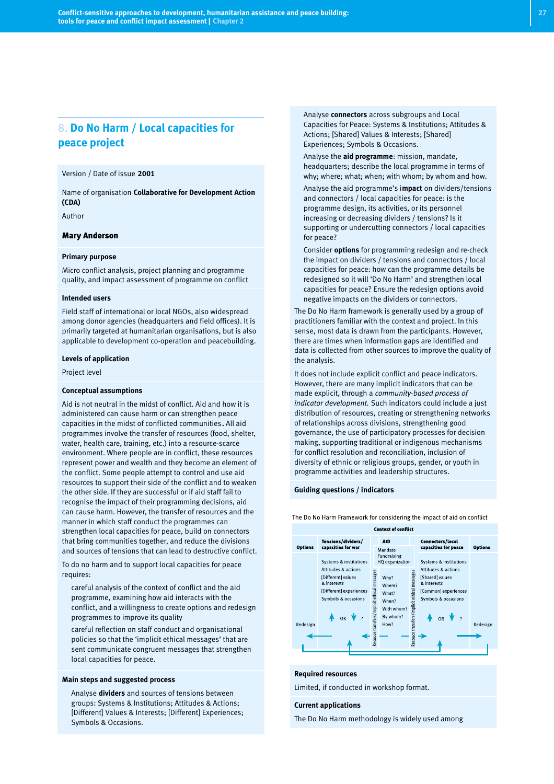# 8. **Do No Harm / Local capacities for peace project**

#### Version / Date of issue **2001**

Name of organisation **Collaborative for Development Action (CDA)**

Author

#### Mary Anderson

#### **Primary purpose**

Micro conflict analysis, project planning and programme quality, and impact assessment of programme on conflict

#### **Intended users**

Field staff of international or local NGOs, also widespread among donor agencies (headquarters and field offices). It is primarily targeted at humanitarian organisations, but is also applicable to development co-operation and peacebuilding.

#### **Levels of application**

Project level

#### **Conceptual assumptions**

Aid is not neutral in the midst of conflict. Aid and how it is administered can cause harm or can strengthen peace capacities in the midst of conflicted communities**.** All aid programmes involve the transfer of resources (food, shelter, water, health care, training, etc.) into a resource-scarce environment. Where people are in conflict, these resources represent power and wealth and they become an element of the conflict. Some people attempt to control and use aid resources to support their side of the conflict and to weaken the other side. If they are successful or if aid staff fail to recognise the impact of their programming decisions, aid can cause harm. However, the transfer of resources and the manner in which staff conduct the programmes can strengthen local capacities for peace, build on connectors that bring communities together, and reduce the divisions and sources of tensions that can lead to destructive conflict.

To do no harm and to support local capacities for peace requires:

- careful analysis of the context of conflict and the aid programme, examining how aid interacts with the conflict, and a willingness to create options and redesign programmes to improve its quality
- careful reflection on staff conduct and organisational policies so that the 'implicit ethical messages' that are sent communicate congruent messages that strengthen local capacities for peace.

#### **Main steps and suggested process**

Analyse **dividers** and sources of tensions between groups: Systems & Institutions; Attitudes & Actions; [Different] Values & Interests; [Different] Experiences; Symbols & Occasions.

● Analyse **connectors** across subgroups and Local Capacities for Peace: Systems & Institutions; Attitudes & Actions; [Shared] Values & Interests; [Shared] Experiences; Symbols & Occasions.

- Analyse the **aid programme**: mission, mandate, headquarters; describe the local programme in terms of why; where; what; when; with whom; by whom and how.
- Analyse the aid programme's i**mpact** on dividers/tensions and connectors / local capacities for peace: is the programme design, its activities, or its personnel increasing or decreasing dividers / tensions? Is it supporting or undercutting connectors / local capacities for peace?
- Consider **options** for programming redesign and re-check the impact on dividers / tensions and connectors / local capacities for peace: how can the programme details be redesigned so it will 'Do No Harm' and strengthen local capacities for peace? Ensure the redesign options avoid negative impacts on the dividers or connectors.

The Do No Harm framework is generally used by a group of practitioners familiar with the context and project. In this sense, most data is drawn from the participants. However, there are times when information gaps are identified and data is collected from other sources to improve the quality of the analysis.

It does not include explicit conflict and peace indicators. However, there are many implicit indicators that can be made explicit, through a *community-based process of indicator development.* Such indicators could include a just distribution of resources, creating or strengthening networks of relationships across divisions, strengthening good governance, the use of participatory processes for decision making, supporting traditional or indigenous mechanisms for conflict resolution and reconciliation, inclusion of diversity of ethnic or religious groups, gender, or youth in programme activities and leadership structures.

#### **Guiding questions / indicators**

The Do No Harm Framework for considering the impact of aid on conflict



#### **Required resources**

Limited, if conducted in workshop format.

#### **Current applications**

The Do No Harm methodology is widely used among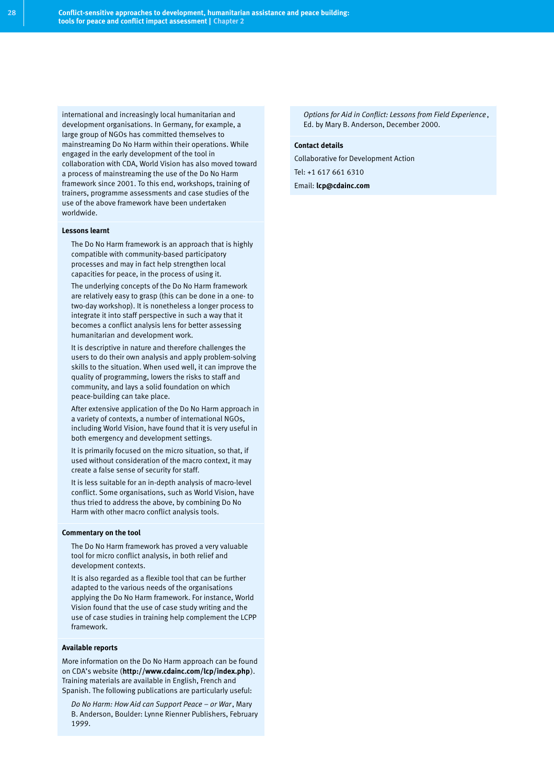international and increasingly local humanitarian and development organisations. In Germany, for example, a large group of NGOs has committed themselves to mainstreaming Do No Harm within their operations. While engaged in the early development of the tool in collaboration with CDA, World Vision has also moved toward a process of mainstreaming the use of the Do No Harm framework since 2001. To this end, workshops, training of trainers, programme assessments and case studies of the use of the above framework have been undertaken worldwide.

#### **Lessons learnt**

- The Do No Harm framework is an approach that is highly compatible with community-based participatory processes and may in fact help strengthen local capacities for peace, in the process of using it.
- The underlying concepts of the Do No Harm framework are relatively easy to grasp (this can be done in a one- to two-day workshop). It is nonetheless a longer process to integrate it into staff perspective in such a way that it becomes a conflict analysis lens for better assessing humanitarian and development work.
- It is descriptive in nature and therefore challenges the users to do their own analysis and apply problem-solving skills to the situation. When used well, it can improve the quality of programming, lowers the risks to staff and community, and lays a solid foundation on which peace-building can take place.
- After extensive application of the Do No Harm approach in a variety of contexts, a number of international NGOs, including World Vision, have found that it is very useful in both emergency and development settings.
- It is primarily focused on the micro situation, so that, if used without consideration of the macro context, it may create a false sense of security for staff.
- It is less suitable for an in-depth analysis of macro-level conflict. Some organisations, such as World Vision, have thus tried to address the above, by combining Do No Harm with other macro conflict analysis tools.

#### **Commentary on the tool**

- The Do No Harm framework has proved a very valuable tool for micro conflict analysis, in both relief and development contexts.
- It is also regarded as a flexible tool that can be further adapted to the various needs of the organisations applying the Do No Harm framework. For instance, World Vision found that the use of case study writing and the use of case studies in training help complement the LCPP framework.

#### **Available reports**

More information on the Do No Harm approach can be found on CDA's website (**http://www.cdainc.com/lcp/index.php**). Training materials are available in English, French and Spanish. The following publications are particularly useful:

● *Do No Harm: How Aid can Support Peace – or War*, Mary B. Anderson, Boulder: Lynne Rienner Publishers, February 1999.

● *Options for Aid in Conflict: Lessons from Field Experience*, Ed. by Mary B. Anderson, December 2000.

#### **Contact details**

Collaborative for Development Action

Tel: +1 617 661 6310

Email: **lcp@cdainc.com**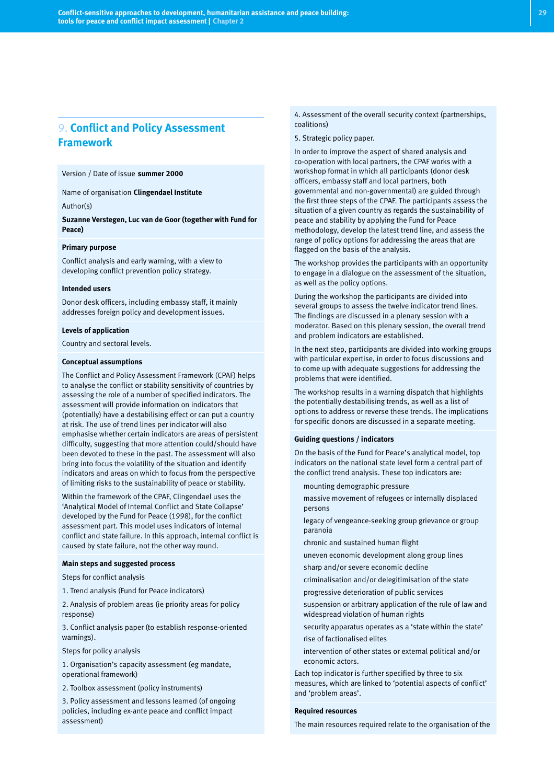# 9. **Conflict and Policy Assessment Framework**

Version / Date of issue **summer 2000**

Name of organisation **Clingendael Institute**

Author(s)

**Suzanne Verstegen, Luc van de Goor (together with Fund for Peace)**

#### **Primary purpose**

Conflict analysis and early warning, with a view to developing conflict prevention policy strategy.

#### **Intended users**

Donor desk officers, including embassy staff, it mainly addresses foreign policy and development issues.

#### **Levels of application**

Country and sectoral levels.

#### **Conceptual assumptions**

The Conflict and Policy Assessment Framework (CPAF) helps to analyse the conflict or stability sensitivity of countries by assessing the role of a number of specified indicators. The assessment will provide information on indicators that (potentially) have a destabilising effect or can put a country at risk. The use of trend lines per indicator will also emphasise whether certain indicators are areas of persistent difficulty, suggesting that more attention could/should have been devoted to these in the past. The assessment will also bring into focus the volatility of the situation and identify indicators and areas on which to focus from the perspective of limiting risks to the sustainability of peace or stability.

Within the framework of the CPAF, Clingendael uses the 'Analytical Model of Internal Conflict and State Collapse' developed by the Fund for Peace (1998), for the conflict assessment part. This model uses indicators of internal conflict and state failure. In this approach, internal conflict is caused by state failure, not the other way round.

#### **Main steps and suggested process**

Steps for conflict analysis

1. Trend analysis (Fund for Peace indicators)

2. Analysis of problem areas (ie priority areas for policy response)

3. Conflict analysis paper (to establish response-oriented warnings).

Steps for policy analysis

1. Organisation's capacity assessment (eg mandate, operational framework)

2. Toolbox assessment (policy instruments)

3. Policy assessment and lessons learned (of ongoing policies, including ex-ante peace and conflict impact assessment)

4. Assessment of the overall security context (partnerships, coalitions)

5. Strategic policy paper.

In order to improve the aspect of shared analysis and co-operation with local partners, the CPAF works with a workshop format in which all participants (donor desk officers, embassy staff and local partners, both governmental and non-governmental) are guided through the first three steps of the CPAF. The participants assess the situation of a given country as regards the sustainability of peace and stability by applying the Fund for Peace methodology, develop the latest trend line, and assess the range of policy options for addressing the areas that are flagged on the basis of the analysis.

The workshop provides the participants with an opportunity to engage in a dialogue on the assessment of the situation, as well as the policy options.

During the workshop the participants are divided into several groups to assess the twelve indicator trend lines. The findings are discussed in a plenary session with a moderator. Based on this plenary session, the overall trend and problem indicators are established.

In the next step, participants are divided into working groups with particular expertise, in order to focus discussions and to come up with adequate suggestions for addressing the problems that were identified.

The workshop results in a warning dispatch that highlights the potentially destabilising trends, as well as a list of options to address or reverse these trends. The implications for specific donors are discussed in a separate meeting.

#### **Guiding questions / indicators**

On the basis of the Fund for Peace's analytical model, top indicators on the national state level form a central part of the conflict trend analysis. These top indicators are:

- mounting demographic pressure
- massive movement of refugees or internally displaced persons
- legacy of vengeance-seeking group grievance or group paranoia
- chronic and sustained human flight
- uneven economic development along group lines
- sharp and/or severe economic decline
- criminalisation and/or delegitimisation of the state
- progressive deterioration of public services
- suspension or arbitrary application of the rule of law and widespread violation of human rights
- security apparatus operates as a 'state within the state' rise of factionalised elites
- intervention of other states or external political and/or economic actors.

Each top indicator is further specified by three to six measures, which are linked to 'potential aspects of conflict' and 'problem areas'.

#### **Required resources**

The main resources required relate to the organisation of the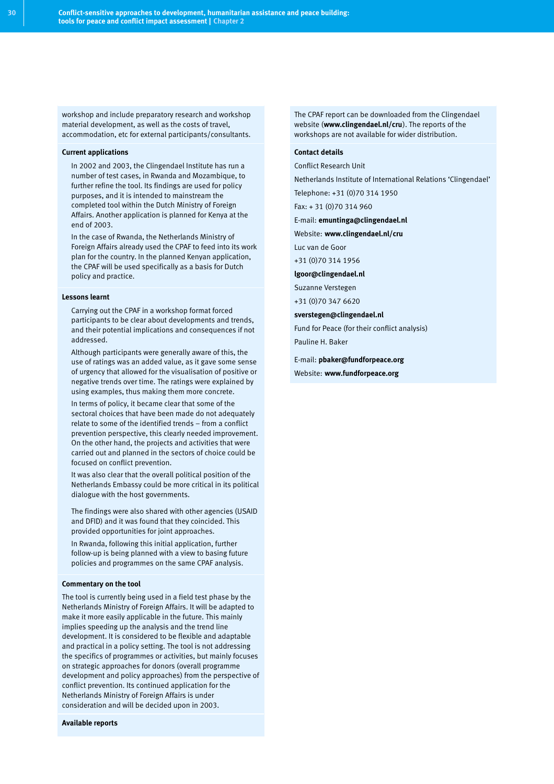workshop and include preparatory research and workshop material development, as well as the costs of travel, accommodation, etc for external participants/consultants.

#### **Current applications**

- In 2002 and 2003, the Clingendael Institute has run a number of test cases, in Rwanda and Mozambique, to further refine the tool. Its findings are used for policy purposes, and it is intended to mainstream the completed tool within the Dutch Ministry of Foreign Affairs. Another application is planned for Kenya at the end of 2003.
- In the case of Rwanda, the Netherlands Ministry of Foreign Affairs already used the CPAF to feed into its work plan for the country. In the planned Kenyan application, the CPAF will be used specifically as a basis for Dutch policy and practice.

#### **Lessons learnt**

- Carrying out the CPAF in a workshop format forced participants to be clear about developments and trends, and their potential implications and consequences if not addressed.
- Although participants were generally aware of this, the use of ratings was an added value, as it gave some sense of urgency that allowed for the visualisation of positive or negative trends over time. The ratings were explained by using examples, thus making them more concrete.
- In terms of policy, it became clear that some of the sectoral choices that have been made do not adequately relate to some of the identified trends – from a conflict prevention perspective, this clearly needed improvement. On the other hand, the projects and activities that were carried out and planned in the sectors of choice could be focused on conflict prevention.
- It was also clear that the overall political position of the Netherlands Embassy could be more critical in its political dialogue with the host governments.
- The findings were also shared with other agencies (USAID and DFID) and it was found that they coincided. This provided opportunities for joint approaches.
- In Rwanda, following this initial application, further follow-up is being planned with a view to basing future policies and programmes on the same CPAF analysis.

#### **Commentary on the tool**

The tool is currently being used in a field test phase by the Netherlands Ministry of Foreign Affairs. It will be adapted to make it more easily applicable in the future. This mainly implies speeding up the analysis and the trend line development. It is considered to be flexible and adaptable and practical in a policy setting. The tool is not addressing the specifics of programmes or activities, but mainly focuses on strategic approaches for donors (overall programme development and policy approaches) from the perspective of conflict prevention. Its continued application for the Netherlands Ministry of Foreign Affairs is under consideration and will be decided upon in 2003.

**Available reports**

The CPAF report can be downloaded from the Clingendael website (**www.clingendael.nl/cru**). The reports of the workshops are not available for wider distribution.

#### **Contact details**

Conflict Research Unit

Netherlands Institute of International Relations 'Clingendael'

Telephone: +31 (0)70 314 1950

Fax: + 31 (0)70 314 960

E-mail: **emuntinga@clingendael.nl**

Website: **www.clingendael.nl/cru**

Luc van de Goor

+31 (0)70 314 1956

**lgoor@clingendael.nl**

Suzanne Verstegen

+31 (0)70 347 6620

#### **sverstegen@clingendael.nl**

Fund for Peace (for their conflict analysis)

Pauline H. Baker

E-mail: **pbaker@fundforpeace.org** Website: **www.fundforpeace.org**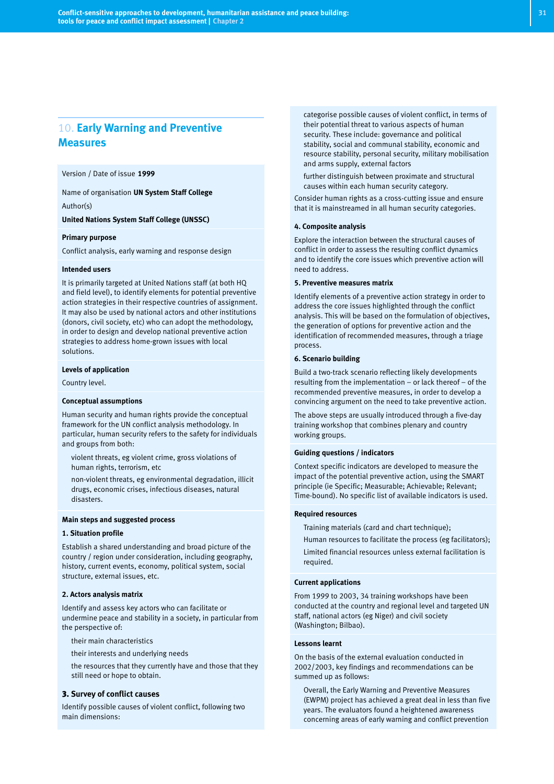# 10. **Early Warning and Preventive Measures**

Version / Date of issue **1999**

Name of organisation **UN System Staff College**

Author(s)

**United Nations System Staff College (UNSSC)**

#### **Primary purpose**

Conflict analysis, early warning and response design

#### **Intended users**

It is primarily targeted at United Nations staff (at both HQ and field level), to identify elements for potential preventive action strategies in their respective countries of assignment. It may also be used by national actors and other institutions (donors, civil society, etc) who can adopt the methodology, in order to design and develop national preventive action strategies to address home-grown issues with local solutions.

#### **Levels of application**

Country level.

#### **Conceptual assumptions**

Human security and human rights provide the conceptual framework for the UN conflict analysis methodology. In particular, human security refers to the safety for individuals and groups from both:

- violent threats, eg violent crime, gross violations of human rights, terrorism, etc
- non-violent threats, eg environmental degradation, illicit drugs, economic crises, infectious diseases, natural disasters.

#### **Main steps and suggested process**

#### **1. Situation profile**

Establish a shared understanding and broad picture of the country / region under consideration, including geography, history, current events, economy, political system, social structure, external issues, etc.

#### **2. Actors analysis matrix**

Identify and assess key actors who can facilitate or undermine peace and stability in a society, in particular from the perspective of:

- their main characteristics
- their interests and underlying needs
- the resources that they currently have and those that they still need or hope to obtain.

#### 3. **Survey of conflict causes**

Identify possible causes of violent conflict, following two main dimensions:

categorise possible causes of violent conflict, in terms of their potential threat to various aspects of human security. These include: governance and political stability, social and communal stability, economic and resource stability, personal security, military mobilisation and arms supply, external factors

further distinguish between proximate and structural causes within each human security category.

Consider human rights as a cross-cutting issue and ensure that it is mainstreamed in all human security categories.

#### **4. Composite analysis**

Explore the interaction between the structural causes of conflict in order to assess the resulting conflict dynamics and to identify the core issues which preventive action will need to address.

#### **5. Preventive measures matrix**

Identify elements of a preventive action strategy in order to address the core issues highlighted through the conflict analysis. This will be based on the formulation of objectives, the generation of options for preventive action and the identification of recommended measures, through a triage process.

#### **6. Scenario building**

Build a two-track scenario reflecting likely developments resulting from the implementation – or lack thereof – of the recommended preventive measures, in order to develop a convincing argument on the need to take preventive action.

The above steps are usually introduced through a five-day training workshop that combines plenary and country working groups.

#### **Guiding questions / indicators**

Context specific indicators are developed to measure the impact of the potential preventive action, using the SMART principle (ie Specific; Measurable; Achievable; Relevant; Time-bound). No specific list of available indicators is used.

#### **Required resources**

- Training materials (card and chart technique);
- Human resources to facilitate the process (eg facilitators);
- Limited financial resources unless external facilitation is required.

#### **Current applications**

From 1999 to 2003, 34 training workshops have been conducted at the country and regional level and targeted UN staff, national actors (eg Niger) and civil society (Washington; Bilbao).

#### **Lessons learnt**

On the basis of the external evaluation conducted in 2002/2003, key findings and recommendations can be summed up as follows:

Overall, the Early Warning and Preventive Measures (EWPM) project has achieved a great deal in less than five years. The evaluators found a heightened awareness concerning areas of early warning and conflict prevention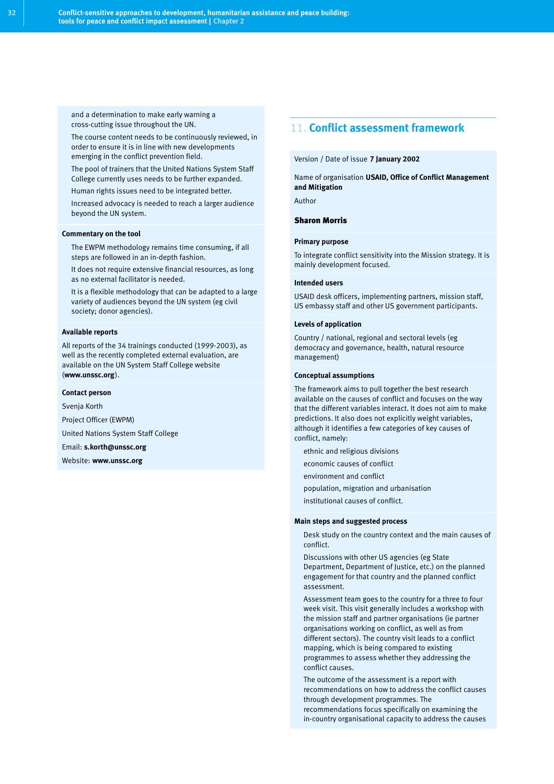and a determination to make early warning a cross-cutting issue throughout the UN.

- The course content needs to be continuously reviewed, in order to ensure it is in line with new developments emerging in the conflict prevention field.
- The pool of trainers that the United Nations System Staff College currently uses needs to be further expanded.
- Human rights issues need to be integrated better.
- Increased advocacy is needed to reach a larger audience beyond the UN system.

#### **Commentary on the tool**

- The EWPM methodology remains time consuming, if all steps are followed in an in-depth fashion.
- It does not require extensive financial resources, as long as no external facilitator is needed.
- It is a flexible methodology that can be adapted to a large variety of audiences beyond the UN system (eg civil society; donor agencies).

#### **Available reports**

All reports of the 34 trainings conducted (1999-2003), as well as the recently completed external evaluation, are available on the UN System Staff College website (**www.unssc.org**).

#### **Contact person**

Svenja Korth

Project Officer (EWPM) United Nations System Staff College

Email: **s.korth@unssc.org**

Website: **www.unssc.org**

# 11. **Conflict assessment framework**

#### Version / Date of issue **7 January 2002**

Name of organisation **USAID, Office of Conflict Management and Mitigation**

Author

#### Sharon Morris

#### **Primary purpose**

To integrate conflict sensitivity into the Mission strategy. It is mainly development focused.

#### **Intended users**

USAID desk officers, implementing partners, mission staff, US embassy staff and other US government participants.

#### **Levels of application**

Country / national, regional and sectoral levels (eg democracy and governance, health, natural resource management)

#### **Conceptual assumptions**

The framework aims to pull together the best research available on the causes of conflict and focuses on the way that the different variables interact. It does not aim to make predictions. It also does not explicitly weight variables, although it identifies a few categories of key causes of conflict, namely:

- ethnic and religious divisions
- economic causes of conflict
- environment and conflict
- population, migration and urbanisation
- institutional causes of conflict.

#### **Main steps and suggested process**

- Desk study on the country context and the main causes of conflict.
- Discussions with other US agencies (eg State Department, Department of Justice, etc.) on the planned engagement for that country and the planned conflict assessment.
- Assessment team goes to the country for a three to four week visit. This visit generally includes a workshop with the mission staff and partner organisations (ie partner organisations working on conflict, as well as from different sectors). The country visit leads to a conflict mapping, which is being compared to existing programmes to assess whether they addressing the conflict causes.
- The outcome of the assessment is a report with recommendations on how to address the conflict causes through development programmes. The recommendations focus specifically on examining the in-country organisational capacity to address the causes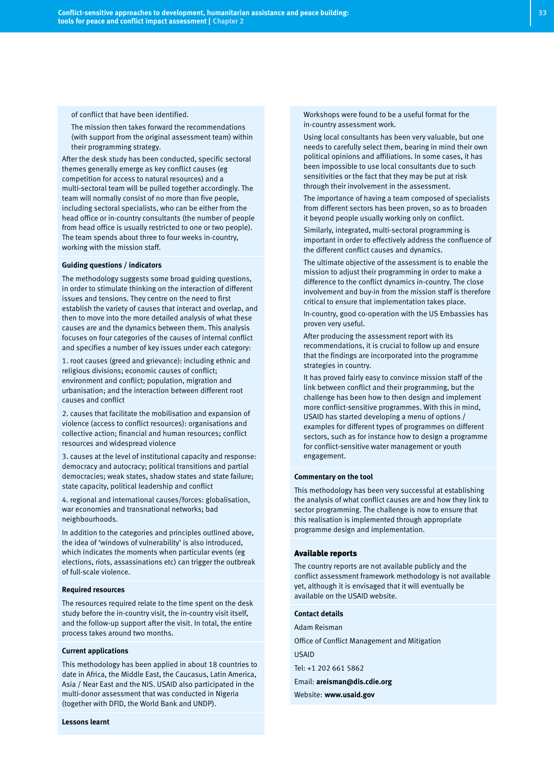of conflict that have been identified.

The mission then takes forward the recommendations (with support from the original assessment team) within their programming strategy.

After the desk study has been conducted, specific sectoral themes generally emerge as key conflict causes (eg competition for access to natural resources) and a multi-sectoral team will be pulled together accordingly. The team will normally consist of no more than five people, including sectoral specialists, who can be either from the head office or in-country consultants (the number of people from head office is usually restricted to one or two people). The team spends about three to four weeks in-country, working with the mission staff.

#### **Guiding questions / indicators**

The methodology suggests some broad guiding questions, in order to stimulate thinking on the interaction of different issues and tensions. They centre on the need to first establish the variety of causes that interact and overlap, and then to move into the more detailed analysis of what these causes are and the dynamics between them. This analysis focuses on four categories of the causes of internal conflict and specifies a number of key issues under each category:

1. root causes (greed and grievance): including ethnic and religious divisions; economic causes of conflict; environment and conflict; population, migration and urbanisation; and the interaction between different root causes and conflict

2. causes that facilitate the mobilisation and expansion of violence (access to conflict resources): organisations and collective action; financial and human resources; conflict resources and widespread violence

3. causes at the level of institutional capacity and response: democracy and autocracy; political transitions and partial democracies; weak states, shadow states and state failure; state capacity, political leadership and conflict

4. regional and international causes/forces: globalisation, war economies and transnational networks; bad neighbourhoods.

In addition to the categories and principles outlined above, the idea of 'windows of vulnerability' is also introduced, which indicates the moments when particular events (eg elections, riots, assassinations etc) can trigger the outbreak of full-scale violence.

#### **Required resources**

The resources required relate to the time spent on the desk study before the in-country visit, the in-country visit itself, and the follow-up support after the visit. In total, the entire process takes around two months.

#### **Current applications**

This methodology has been applied in about 18 countries to date in Africa, the Middle East, the Caucasus, Latin America, Asia / Near East and the NIS. USAID also participated in the multi-donor assessment that was conducted in Nigeria (together with DFID, the World Bank and UNDP).

#### **Lessons learnt**

Workshops were found to be a useful format for the in-country assessment work.

- Using local consultants has been very valuable, but one needs to carefully select them, bearing in mind their own political opinions and affiliations. In some cases, it has been impossible to use local consultants due to such sensitivities or the fact that they may be put at risk through their involvement in the assessment.
- The importance of having a team composed of specialists from different sectors has been proven, so as to broaden it beyond people usually working only on conflict.
- Similarly, integrated, multi-sectoral programming is important in order to effectively address the confluence of the different conflict causes and dynamics.
- The ultimate objective of the assessment is to enable the mission to adjust their programming in order to make a difference to the conflict dynamics in-country. The close involvement and buy-in from the mission staff is therefore critical to ensure that implementation takes place.
- In-country, good co-operation with the US Embassies has proven very useful.
- After producing the assessment report with its recommendations, it is crucial to follow up and ensure that the findings are incorporated into the programme strategies in country.
- It has proved fairly easy to convince mission staff of the link between conflict and their programming, but the challenge has been how to then design and implement more conflict-sensitive programmes. With this in mind, USAID has started developing a menu of options / examples for different types of programmes on different sectors, such as for instance how to design a programme for conflict-sensitive water management or youth engagement.

#### **Commentary on the tool**

This methodology has been very successful at establishing the analysis of what conflict causes are and how they link to sector programming. The challenge is now to ensure that this realisation is implemented through appropriate programme design and implementation.

#### Available reports

The country reports are not available publicly and the conflict assessment framework methodology is not available yet, although it is envisaged that it will eventually be available on the USAID website.

#### **Contact details**

Adam Reisman Office of Conflict Management and Mitigation USAID Tel: +1 202 661 5862 Email: **areisman@dis.cdie.org**

Website: **www.usaid.gov**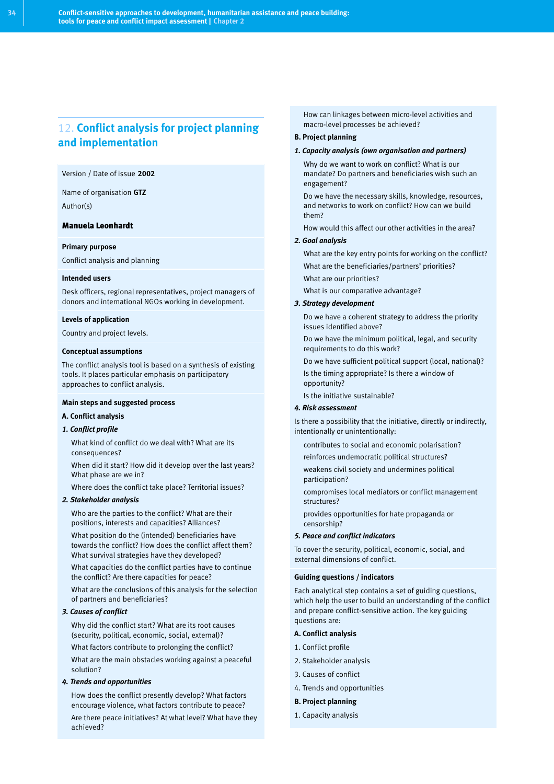# 12. **Conflict analysis for project planning and implementation**

#### Version / Date of issue **2002**

Name of organisation **GTZ**

Author(s)

#### Manuela Leonhardt

#### **Primary purpose**

Conflict analysis and planning

#### **Intended users**

Desk officers, regional representatives, project managers of donors and international NGOs working in development.

#### **Levels of application**

Country and project levels.

#### **Conceptual assumptions**

The conflict analysis tool is based on a synthesis of existing tools. It places particular emphasis on participatory approaches to conflict analysis.

#### **Main steps and suggested process**

#### **A. Conflict analysis**

#### *1. Conflict profile*

- What kind of conflict do we deal with? What are its consequences?
- When did it start? How did it develop over the last years? What phase are we in?
- Where does the conflict take place? Territorial issues?

#### *2. Stakeholder analysis*

- Who are the parties to the conflict? What are their positions, interests and capacities? Alliances?
- What position do the (intended) beneficiaries have towards the conflict? How does the conflict affect them? What survival strategies have they developed?
- What capacities do the conflict parties have to continue the conflict? Are there capacities for peace?
- What are the conclusions of this analysis for the selection of partners and beneficiaries?

#### *3. Causes of conflict*

- Why did the conflict start? What are its root causes (security, political, economic, social, external)?
- What factors contribute to prolonging the conflict?
- What are the main obstacles working against a peaceful solution?

#### *4. Trends and opportunities*

- How does the conflict presently develop? What factors encourage violence, what factors contribute to peace?
- Are there peace initiatives? At what level? What have they achieved?

How can linkages between micro-level activities and macro-level processes be achieved?

#### **B. Project planning**

- *1. Capacity analysis (own organisation and partners)*
- Why do we want to work on conflict? What is our mandate? Do partners and beneficiaries wish such an engagement?
- Do we have the necessary skills, knowledge, resources, and networks to work on conflict? How can we build them?
- How would this affect our other activities in the area?

#### *2. Goal analysis*

- What are the key entry points for working on the conflict?
- What are the beneficiaries/partners' priorities?
- What are our priorities?
- What is our comparative advantage?

#### *3. Strategy development*

- Do we have a coherent strategy to address the priority issues identified above?
- Do we have the minimum political, legal, and security requirements to do this work?
- Do we have sufficient political support (local, national)?
- Is the timing appropriate? Is there a window of opportunity?
- Is the initiative sustainable?

#### *4. Risk assessment*

Is there a possibility that the initiative, directly or indirectly, intentionally or unintentionally:

- contributes to social and economic polarisation?
- reinforces undemocratic political structures?
- weakens civil society and undermines political participation?
- compromises local mediators or conflict management structures?
- provides opportunities for hate propaganda or censorship?

#### *5. Peace and conflict indicators*

To cover the security, political, economic, social, and external dimensions of conflict.

#### **Guiding questions / indicators**

Each analytical step contains a set of guiding questions, which help the user to build an understanding of the conflict and prepare conflict-sensitive action. The key guiding questions are:

#### **A. Conflict analysis**

- 1. Conflict profile
- 2. Stakeholder analysis
- 3. Causes of conflict
- 4. Trends and opportunities

#### **B. Project planning**

1. Capacity analysis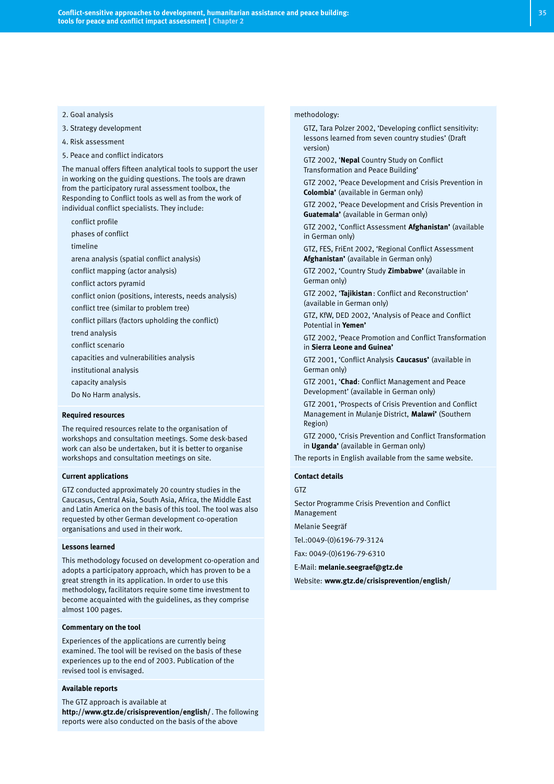#### 2. Goal analysis

- 3. Strategy development
- 4. Risk assessment
- 5. Peace and conflict indicators

The manual offers fifteen analytical tools to support the user in working on the guiding questions. The tools are drawn from the participatory rural assessment toolbox, the Responding to Conflict tools as well as from the work of individual conflict specialists. They include:

- conflict profile
- phases of conflict
- timeline
- arena analysis (spatial conflict analysis)
- conflict mapping (actor analysis)
- conflict actors pyramid
- conflict onion (positions, interests, needs analysis)
- conflict tree (similar to problem tree)
- conflict pillars (factors upholding the conflict)
- trend analysis
- conflict scenario
- capacities and vulnerabilities analysis
- institutional analysis
- capacity analysis
- Do No Harm analysis.

#### **Required resources**

The required resources relate to the organisation of workshops and consultation meetings. Some desk-based work can also be undertaken, but it is better to organise workshops and consultation meetings on site.

#### **Current applications**

GTZ conducted approximately 20 country studies in the Caucasus, Central Asia, South Asia, Africa, the Middle East and Latin America on the basis of this tool. The tool was also requested by other German development co-operation organisations and used in their work.

#### **Lessons learned**

This methodology focused on development co-operation and adopts a participatory approach, which has proven to be a great strength in its application. In order to use this methodology, facilitators require some time investment to become acquainted with the guidelines, as they comprise almost 100 pages.

#### **Commentary on the tool**

Experiences of the applications are currently being examined. The tool will be revised on the basis of these experiences up to the end of 2003. Publication of the revised tool is envisaged.

#### **Available reports**

The GTZ approach is available at **http://www.gtz.de/crisisprevention/english/**. The following reports were also conducted on the basis of the above

#### methodology:

- GTZ, Tara Polzer 2002, 'Developing conflict sensitivity: lessons learned from seven country studies' (Draft version)
- GTZ 2002, '**Nepal** Country Study on Conflict Transformation and Peace Building'
- GTZ 2002, 'Peace Development and Crisis Prevention in **Colombia'** (available in German only)
- GTZ 2002, 'Peace Development and Crisis Prevention in **Guatemala'** (available in German only)
- GTZ 2002, 'Conflict Assessment **Afghanistan'** (available in German only)
- GTZ, FES, FriEnt 2002, 'Regional Conflict Assessment **Afghanistan'** (available in German only)
- GTZ 2002, 'Country Study **Zimbabwe'** (available in German only)
- GTZ 2002, '**Tajikistan**: Conflict and Reconstruction' (available in German only)
- GTZ, KfW, DED 2002, 'Analysis of Peace and Conflict Potential in **Yemen'**
- GTZ 2002, 'Peace Promotion and Conflict Transformation in **Sierra Leone and Guinea'**
- GTZ 2001, 'Conflict Analysis **Caucasus'** (available in German only)
- GTZ 2001, '**Chad**: Conflict Management and Peace Development' (available in German only)
- GTZ 2001, 'Prospects of Crisis Prevention and Conflict Management in Mulanje District, **Malawi'** (Southern Region)
- GTZ 2000, 'Crisis Prevention and Conflict Transformation in **Uganda'** (available in German only)
- The reports in English available from the same website.

#### **Contact details**

GTZ

Sector Programme Crisis Prevention and Conflict Management

Melanie Seegräf

Tel.:0049-(0)6196-79-3124

Fax: 0049-(0)6196-79-6310

E-Mail: **melanie.seegraef@gtz.de**

Website: **www.gtz.de/crisisprevention/english/**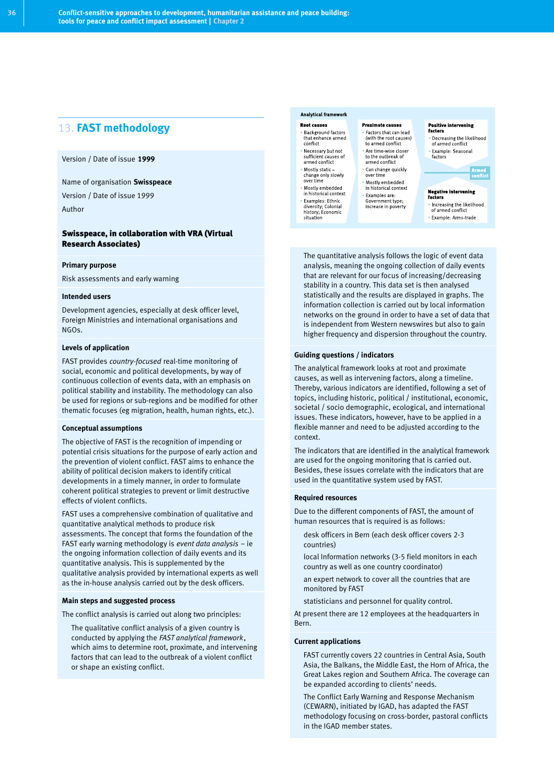# 13. **FAST methodology**

#### Version / Date of issue **1999**

Name of organisation **Swisspeace**

Version / Date of issue 1999

Author

#### Swisspeace, in collaboration with VRA (Virtual Research Associates)

#### **Primary purpose**

Risk assessments and early warning

#### **Intended users**

Development agencies, especially at desk officer level, Foreign Ministries and international organisations and NGOs.

#### **Levels of application**

FAST provides *country-focused* real-time monitoring of social, economic and political developments, by way of continuous collection of events data, with an emphasis on political stability and instability. The methodology can also be used for regions or sub-regions and be modified for other thematic focuses (eg migration, health, human rights, etc.).

#### **Conceptual assumptions**

The objective of FAST is the recognition of impending or potential crisis situations for the purpose of early action and the prevention of violent conflict. FAST aims to enhance the ability of political decision makers to identify critical developments in a timely manner, in order to formulate coherent political strategies to prevent or limit destructive effects of violent conflicts.

FAST uses a comprehensive combination of qualitative and quantitative analytical methods to produce risk assessments. The concept that forms the foundation of the FAST early warning methodology is *event data analysis* – ie the ongoing information collection of daily events and its quantitative analysis. This is supplemented by the qualitative analysis provided by international experts as well as the in-house analysis carried out by the desk officers.

#### **Main steps and suggested process**

The conflict analysis is carried out along two principles:

The qualitative conflict analysis of a given country is conducted by applying the *FAST analytical framework*, which aims to determine root, proximate, and intervening factors that can lead to the outbreak of a violent conflict or shape an existing conflict.

#### Analytical framework

**Root causes** Background factors<br>that enhance armed<br>conflict Necessary but not<br>sufficient causes of<br>armed conflict

Mostly static –<br>change only slowly<br>over time Mostly embedded<br>in historical context

Examples: Ethnic<br>diversity; Colonial<br>history; Economic situation

#### **Proximate causes**

Factors that can lead<br>(with the root causes)<br>to armed conflict Are time wise closer<br>to the outbreak of<br>armed conflict

Can change quickly<br>over time Mostly embedded<br>in historical context Examples are:<br>Government type;<br>increase in poverty

Example: Seasonal<br>factors

**Negative intervening** factors . Increasing the likelihood of armed conflict

Positive intervening<br>factors

-------<br>• Decreasing the likelihood<br>• of armed conflict

· Example: Arms trade

The quantitative analysis follows the logic of event data analysis, meaning the ongoing collection of daily events that are relevant for our focus of increasing/decreasing stability in a country. This data set is then analysed statistically and the results are displayed in graphs. The information collection is carried out by local information networks on the ground in order to have a set of data that is independent from Western newswires but also to gain higher frequency and dispersion throughout the country.

#### **Guiding questions / indicators**

The analytical framework looks at root and proximate causes, as well as intervening factors, along a timeline. Thereby, various indicators are identified, following a set of topics, including historic, political / institutional, economic, societal / socio demographic, ecological, and international issues. These indicators, however, have to be applied in a flexible manner and need to be adjusted according to the context.

The indicators that are identified in the analytical framework are used for the ongoing monitoring that is carried out. Besides, these issues correlate with the indicators that are used in the quantitative system used by FAST.

#### **Required resources**

Due to the different components of FAST, the amount of human resources that is required is as follows:

- desk officers in Bern (each desk officer covers 2-3 countries)
- local Information networks (3-5 field monitors in each country as well as one country coordinator)
- an expert network to cover all the countries that are monitored by FAST
- statisticians and personnel for quality control.

At present there are 12 employees at the headquarters in Bern.

#### **Current applications**

- FAST currently covers 22 countries in Central Asia, South Asia, the Balkans, the Middle East, the Horn of Africa, the Great Lakes region and Southern Africa. The coverage can be expanded according to clients' needs.
- The Conflict Early Warning and Response Mechanism (CEWARN), initiated by IGAD, has adapted the FAST methodology focusing on cross-border, pastoral conflicts in the IGAD member states.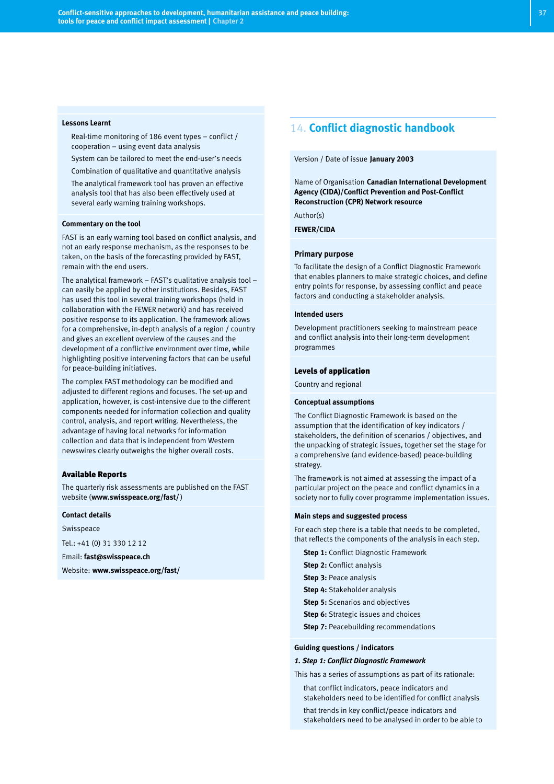#### **Lessons Learnt**

- Real-time monitoring of 186 event types conflict / cooperation – using event data analysis
- System can be tailored to meet the end-user's needs
- Combination of qualitative and quantitative analysis
- The analytical framework tool has proven an effective analysis tool that has also been effectively used at several early warning training workshops.

#### **Commentary on the tool**

FAST is an early warning tool based on conflict analysis, and not an early response mechanism, as the responses to be taken, on the basis of the forecasting provided by FAST, remain with the end users.

The analytical framework – FAST's qualitative analysis tool – can easily be applied by other institutions. Besides, FAST has used this tool in several training workshops (held in collaboration with the FEWER network) and has received positive response to its application. The framework allows for a comprehensive, in-depth analysis of a region / country and gives an excellent overview of the causes and the development of a conflictive environment over time, while highlighting positive intervening factors that can be useful for peace-building initiatives.

The complex FAST methodology can be modified and adjusted to different regions and focuses. The set-up and application, however, is cost-intensive due to the different components needed for information collection and quality control, analysis, and report writing. Nevertheless, the advantage of having local networks for information collection and data that is independent from Western newswires clearly outweighs the higher overall costs.

#### Available Reports

The quarterly risk assessments are published on the FAST website (**www.swisspeace.org/fast/** )

#### **Contact details**

Swisspeace

Tel.: +41 (0) 31 330 12 12

Email: **fast@swisspeace.ch**

Website: **www.swisspeace.org/fast/**

### 14. **Conflict diagnostic handbook**

#### Version / Date of issue **January 2003**

Name of Organisation **Canadian International Development Agency (CIDA)/Conflict Prevention and Post-Conflict Reconstruction (CPR) Network resource**

Author(s)

**FEWER/CIDA**

#### **Primary purpose**

To facilitate the design of a Conflict Diagnostic Framework that enables planners to make strategic choices, and define entry points for response, by assessing conflict and peace factors and conducting a stakeholder analysis.

#### **Intended users**

Development practitioners seeking to mainstream peace and conflict analysis into their long-term development programmes

#### Levels of application

Country and regional

#### **Conceptual assumptions**

The Conflict Diagnostic Framework is based on the assumption that the identification of key indicators / stakeholders, the definition of scenarios / objectives, and the unpacking of strategic issues, together set the stage for a comprehensive (and evidence-based) peace-building strategy.

The framework is not aimed at assessing the impact of a particular project on the peace and conflict dynamics in a society nor to fully cover programme implementation issues.

#### **Main steps and suggested process**

For each step there is a table that needs to be completed, that reflects the components of the analysis in each step.

- **Step 1: Conflict Diagnostic Framework**
- **Step 2: Conflict analysis**
- **Step 3: Peace analysis**
- **Step 4: Stakeholder analysis**
- **Step 5:** Scenarios and objectives
- **Step 6:** Strategic issues and choices
- **Step 7: Peacebuilding recommendations**

#### **Guiding questions / indicators**

#### *1. Step 1: Conflict Diagnostic Framework*

This has a series of assumptions as part of its rationale:

- that conflict indicators, peace indicators and stakeholders need to be identified for conflict analysis
- that trends in key conflict/peace indicators and stakeholders need to be analysed in order to be able to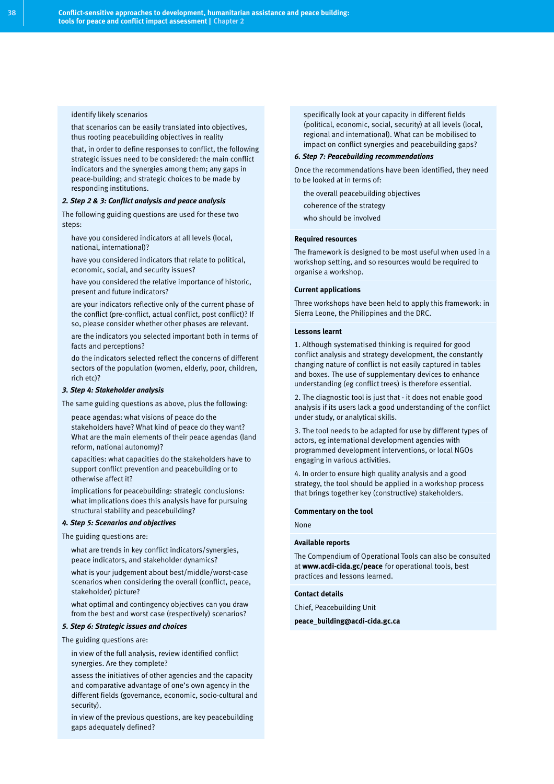identify likely scenarios

- that scenarios can be easily translated into objectives, thus rooting peacebuilding objectives in reality
- that, in order to define responses to conflict, the following strategic issues need to be considered: the main conflict indicators and the synergies among them; any gaps in peace-building; and strategic choices to be made by responding institutions.

#### *2. Step 2 & 3: Conflict analysis and peace analysis*

The following guiding questions are used for these two steps:

- have you considered indicators at all levels (local, national, international)?
- have you considered indicators that relate to political, economic, social, and security issues?
- have you considered the relative importance of historic, present and future indicators?
- are your indicators reflective only of the current phase of the conflict (pre-conflict, actual conflict, post conflict)? If so, please consider whether other phases are relevant.
- are the indicators you selected important both in terms of facts and perceptions?
- do the indicators selected reflect the concerns of different sectors of the population (women, elderly, poor, children, rich etc)?

#### *3. Step 4: Stakeholder analysis*

The same guiding questions as above, plus the following:

- peace agendas: what visions of peace do the stakeholders have? What kind of peace do they want? What are the main elements of their peace agendas (land reform, national autonomy)?
- capacities: what capacities do the stakeholders have to support conflict prevention and peacebuilding or to otherwise affect it?
- implications for peacebuilding: strategic conclusions: what implications does this analysis have for pursuing structural stability and peacebuilding?

#### *4. Step 5: Scenarios and objectives*

The guiding questions are:

- what are trends in key conflict indicators/synergies, peace indicators, and stakeholder dynamics?
- what is your judgement about best/middle/worst-case scenarios when considering the overall (conflict, peace, stakeholder) picture?
- what optimal and contingency objectives can you draw from the best and worst case (respectively) scenarios?

#### *5. Step 6: Strategic issues and choices*

The guiding questions are:

- in view of the full analysis, review identified conflict synergies. Are they complete?
- assess the initiatives of other agencies and the capacity and comparative advantage of one's own agency in the different fields (governance, economic, socio-cultural and security).
- in view of the previous questions, are key peacebuilding gaps adequately defined?

specifically look at your capacity in different fields (political, economic, social, security) at all levels (local, regional and international). What can be mobilised to impact on conflict synergies and peacebuilding gaps?

#### *6. Step 7: Peacebuilding recommendations*

Once the recommendations have been identified, they need to be looked at in terms of:

- the overall peacebuilding objectives
- coherence of the strategy
- who should be involved

#### **Required resources**

The framework is designed to be most useful when used in a workshop setting, and so resources would be required to organise a workshop.

#### **Current applications**

Three workshops have been held to apply this framework: in Sierra Leone, the Philippines and the DRC.

#### **Lessons learnt**

1. Although systematised thinking is required for good conflict analysis and strategy development, the constantly changing nature of conflict is not easily captured in tables and boxes. The use of supplementary devices to enhance understanding (eg conflict trees) is therefore essential.

2. The diagnostic tool is just that - it does not enable good analysis if its users lack a good understanding of the conflict under study, or analytical skills.

3. The tool needs to be adapted for use by different types of actors, eg international development agencies with programmed development interventions, or local NGOs engaging in various activities.

4. In order to ensure high quality analysis and a good strategy, the tool should be applied in a workshop process that brings together key (constructive) stakeholders.

#### **Commentary on the tool**

#### None

#### **Available reports**

The Compendium of Operational Tools can also be consulted at **www.acdi-cida.gc/peace** for operational tools, best practices and lessons learned.

#### **Contact details**

Chief, Peacebuilding Unit

**peace\_building@acdi-cida.gc.ca**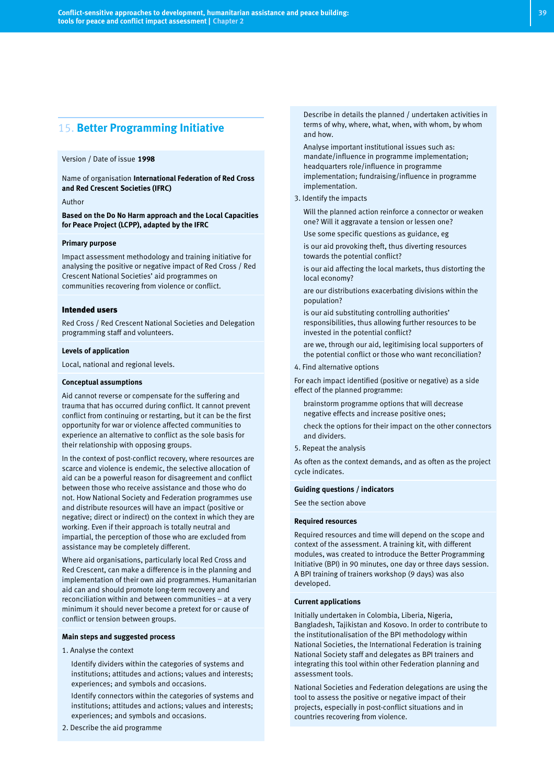### 15. **Better Programming Initiative**

#### Version / Date of issue **1998**

Name of organisation **International Federation of Red Cross and Red Crescent Societies (IFRC)**

#### Author

**Based on the Do No Harm approach and the Local Capacities for Peace Project (LCPP), adapted by the IFRC**

#### **Primary purpose**

Impact assessment methodology and training initiative for analysing the positive or negative impact of Red Cross / Red Crescent National Societies' aid programmes on communities recovering from violence or conflict.

#### Intended users

Red Cross / Red Crescent National Societies and Delegation programming staff and volunteers.

#### **Levels of application**

Local, national and regional levels.

#### **Conceptual assumptions**

Aid cannot reverse or compensate for the suffering and trauma that has occurred during conflict. It cannot prevent conflict from continuing or restarting, but it can be the first opportunity for war or violence affected communities to experience an alternative to conflict as the sole basis for their relationship with opposing groups.

In the context of post-conflict recovery, where resources are scarce and violence is endemic, the selective allocation of aid can be a powerful reason for disagreement and conflict between those who receive assistance and those who do not. How National Society and Federation programmes use and distribute resources will have an impact (positive or negative; direct or indirect) on the context in which they are working. Even if their approach is totally neutral and impartial, the perception of those who are excluded from assistance may be completely different.

Where aid organisations, particularly local Red Cross and Red Crescent, can make a difference is in the planning and implementation of their own aid programmes. Humanitarian aid can and should promote long-term recovery and reconciliation within and between communities – at a very minimum it should never become a pretext for or cause of conflict or tension between groups.

#### **Main steps and suggested process**

1. Analyse the context

- Identify dividers within the categories of systems and institutions; attitudes and actions; values and interests; experiences; and symbols and occasions.
- Identify connectors within the categories of systems and institutions; attitudes and actions; values and interests; experiences; and symbols and occasions.
- 2. Describe the aid programme

Describe in details the planned / undertaken activities in terms of why, where, what, when, with whom, by whom and how.

- Analyse important institutional issues such as: mandate/influence in programme implementation; headquarters role/influence in programme implementation; fundraising/influence in programme implementation.
- 3. Identify the impacts
- Will the planned action reinforce a connector or weaken one? Will it aggravate a tension or lessen one?
- Use some specific questions as guidance, eg
- is our aid provoking theft, thus diverting resources towards the potential conflict?
- is our aid affecting the local markets, thus distorting the local economy?
- are our distributions exacerbating divisions within the population?
- is our aid substituting controlling authorities' responsibilities, thus allowing further resources to be invested in the potential conflict?
- are we, through our aid, legitimising local supporters of the potential conflict or those who want reconciliation?
- 4. Find alternative options

For each impact identified (positive or negative) as a side effect of the planned programme:

- brainstorm programme options that will decrease negative effects and increase positive ones;
- check the options for their impact on the other connectors and dividers.
- 5. Repeat the analysis

As often as the context demands, and as often as the project cycle indicates.

#### **Guiding questions / indicators**

See the section above

#### **Required resources**

Required resources and time will depend on the scope and context of the assessment. A training kit, with different modules, was created to introduce the Better Programming Initiative (BPI) in 90 minutes, one day or three days session. A BPI training of trainers workshop (9 days) was also developed.

#### **Current applications**

Initially undertaken in Colombia, Liberia, Nigeria, Bangladesh, Tajikistan and Kosovo. In order to contribute to the institutionalisation of the BPI methodology within National Societies, the International Federation is training National Society staff and delegates as BPI trainers and integrating this tool within other Federation planning and assessment tools.

National Societies and Federation delegations are using the tool to assess the positive or negative impact of their projects, especially in post-conflict situations and in countries recovering from violence.